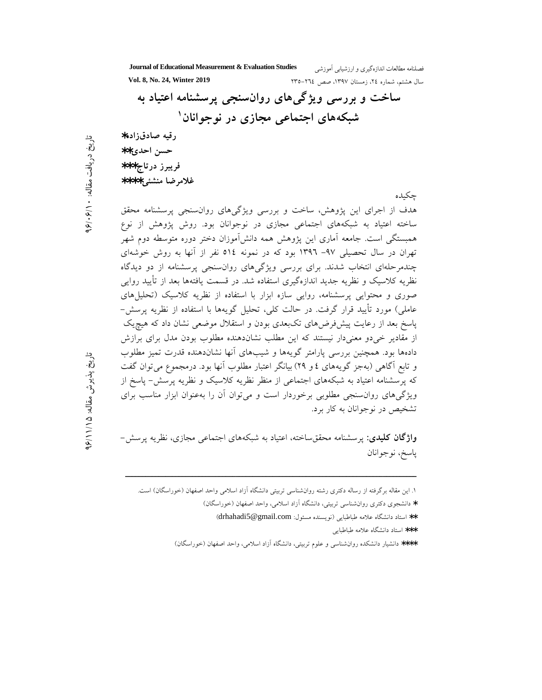**Journal of Educational Measurement & Evaluation Studies** فصلنامه مطالعا سال هشتم، شماره ٢٤، زمستان ١٣٩٧، صص ٢٦٤-٢٣٥ **. 1398 Yol. 8, No. 24, Winter 2019** ساخت و بررسی ویژگیهای روانسنجی پرسشنامه اعتیاد به شبکههای اجتماعی مجازی در نوجوانان<sup>۱</sup> **رقيه صادقزاده\*** ∗∗**)\* +,\***  فريبرز درتاج\*\*\* غلام ضا منشئے \*\*\*\* جكىدە هدف از اجرای این یژوهش، ساخت و بررسی ویژگیهای روان سنجی پرسشنامه محقق ساخته اعتیاد به شبکههای اجتماعی مجازی در نوجوانان بود. روش پژوهش از نوع همبستگی است. جامعه آماری این پژوهش همه دانشآموزان دختر دوره متوسطه دوم شهر تهران در سال تحصیلی ۹۷– ۱۳۹۲ بود که در نمونه ۵۱٤ نفر از آنها به روش خوشهای چندمرحلهای انتخاب شدند. برای بررسی ویژگیهای روانسنجی پرسشنامه از دو دیدگاه نظریه کلاسیک و نظریه جدید اندازهگیری استفاده شد. در قسمت یافتهها بعد از تأیید روایی صوری و محتوایی پرسشنامه، روایی سازه ابزار با استفاده از نظریه کلاسیک (تحلیلهای عاملی) مورد تأیید قرار گرفت. در حالت کلی، تحلیل گویهها با استفاده از نظریه پرسش– یاسخ بعد از رعایت پیش فرضهای تکبعدی بودن و استقلال موضعی نشان داد که هیچیک از مقادیر خیدو معنیدار نیستند که این مطلب نشاندهنده مطلوب بودن مدل برای برازش دادهها بود. همچنین بررسی پارامتر گویهها و شیبهای آنها نشاندهنده قدرت تمیز مطلوب و تابع آگاهی (بهجز گویههای ٤ و ٢٩) بیانگر اعتبار مطلوب أنها بود. درمجموع میتوان گفت که پرسشنامه اعتیاد به شبکههای اجتماعی از منظر نظریه کلاسیک و نظریه پرسش– یاسخ از ویژگیهای روانسنجی مطلوبی برخوردار است و میتوان آن را بهعنوان ابزار مناسب برای تشخیص در نوجوانان به کار برد.

يافت مقاله:

 $1.3 - 1$ 

م و مقاله: "تاريخ پذيرش مقاله:

زلا.<br>ج جڌ

15 / 11 / 96

ن<br>ج<br>د جڌ

> **واژگان کلیدی**: پرسشنامه محققساخته، اعتیاد به شبکههای اجتماعی مجازی، نظریه پرسش– ياسخ، نوجوانان

 $\overline{\phantom{a}}$ 

- \*\*\* استاد دانشگاه علامه طباطبايي
- \*\*\*\* دانشیار دانشکده روانشناسی و علوم تربیتی، دانشگاه آزاد اسلامی، واحد اصفهان (خوراسگان)

۱. این مقاله برگرفته از رساله دکتری رشته روانشناسی تربیتی دانشگاه آزاد اسلامی واحد اصفهان (خوراسگان) است.

<sup>\*</sup> دانشجوی دکتری روانشناسی تربیتی، دانشگاه آزاد اسلامی، واحد اصفهان (خوراسگان)

<sup>\*\*</sup> استاد دانشگاه علامه طباطبايى (نويسنده مسئول: drhahadi5@gmail.com)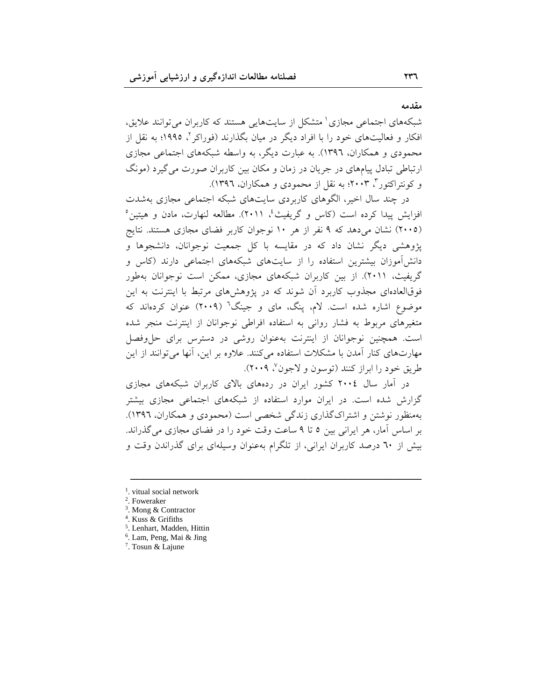**مقدمه** 

شبکههای اجتماعی مجازی<sup>۱</sup> متشکل از سایتهایی هستند که کاربران میتوانند علایق، افکار و فعالیتهای خود را با افراد دیگر در میان بگذارند (فوراکر <sup>۲</sup>، ۱۹۹۵؛ به نقل از محمودی و همکاران، ۱۳۹۲). به عبارت دیگر، به واسطه شبکههای اجتماعی مجازی ارتباطی تبادل پیامهای در جریان در زمان و مکان بین کاربران صورت میگیرد (مونگ و کونتراکتور ۳ ۲۰۰۳؛ به نقل از محمودی و همکاران، ۱۳۹۲).

در چند سال اخیر، الگوهای کاربردی سایتهای شبکه اجتماعی مجازی بهشدت افزایش پیدا کرده است (کاس و گریفیث<sup>؛</sup>، ۲۰۱۱). مطالعه لنهارت، مادن و هیتین° (۲۰۰۵) نشان می۵هد که ۹ نفر از هر ۱۰ نوجوان کاربر فضای مجازی هستند. نتایج پژوهشی دیگر نشان داد که در مقایسه با کل جمعیت نوجوانان، دانشجوها و دانش آموزان بیشترین استفاده را از سایتهای شبکههای اجتماعی دارند (کاس و گریفیث، ۲۰۱۱). از بین کاربران شبکههای مجازی، ممکن است نوجوانان بهطور فوقالعادمای مجذوب کاربرد آن شوند که در پژوهش های مرتبط با اینترنت به این موضوع اشاره شده است. لام، پنگ، مای و جینگ<sup>٦</sup> (۲۰۰۹) عنوان کردهاند که متغیرهای مربوط به فشار روانی به استفاده افراطی نوجوانان از اینترنت منجر شده است. همچنین نوجوانان از اینترنت بهعنوان روشی در دسترس برای حل وفصل مهارتهای کنار أمدن با مشکلات استفاده میکنند. علاوه بر این، أنها میتوانند از این طريق خود را ابراز كنند (توسون و لاجون<sup>٧</sup>، ٢٠٠٩).

در آمار سال ۲۰۰٤ کشور ایران در ردههای بالای کاربران شبکههای مجازی گزارش شده است. در ایران موارد استفاده از شبکههای اجتماعی مجازی بیشتر بهمنظور نوشتن و اشتراک گذاری زندگی شخصی است (محمودی و همکاران، ۱۳۹٦). بر اساس آمار، هر ایرانی بین ٥ تا ٩ ساعت وقت خود را در فضای مجازی می گذراند. بیش از ٦٠ درصد کاربران ایرانی، از تلگرام بهعنوان وسیلهای برای گذراندن وقت و

 $\overline{\phantom{a}$ 

- 6 . Lam, Peng, Mai & Jing
- 7 . Tosun & Lajune

<sup>&</sup>lt;sup>1</sup>. vitual social network

<sup>2</sup> . Foweraker

<sup>3</sup> . Mong & Contractor

<sup>4</sup> . Kuss & Grifiths

<sup>5</sup> . Lenhart, Madden, Hittin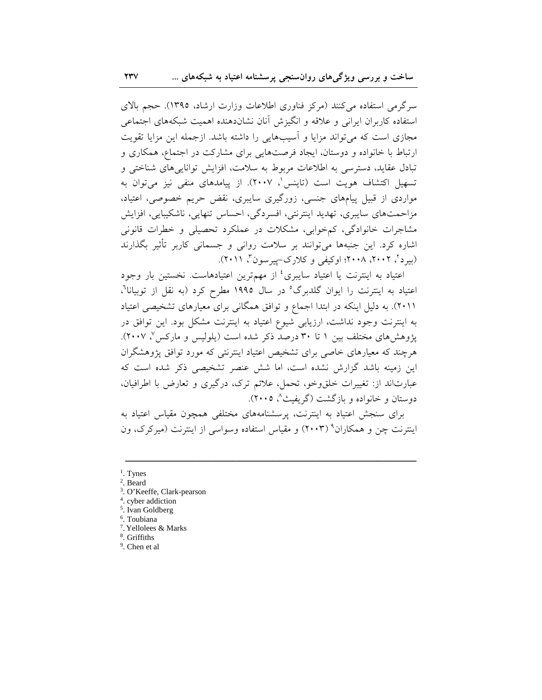سرگرمی استفاده میکنند (مرکز فناوری اطلاعات وزارت ارشاد، ۱۳۹۵). حجم بالای استفاده كاربران ايراني و علاقه و انگيزش آنان نشاندهنده اهميت شبكههاى اجتماعى مجازی است که می تواند مزایا و آسیبهایی را داشته باشد. ازجمله این مزایا تقویت ارتباط با خانواده و دوستان، ایجاد فرصتهایی برای مشارکت در اجتماع، همکاری و تبادل عقاید، دسترسی به اطلاعات مربوط به سلامت، افزایش تواناییهای شناختی و تسهیل اکتشاف هویت است (تاینس'، ۲۰۰۷). از پیامدهای منفی نیز می توان به مواردی از قبیل پیامهای جنسی، زورگیری سایبری، نقض حریم خصوصی، اعتیاد، مزاحمتهای سایبری، تهدید اینترنتی، افسردگی، احساس تنهایی، ناشکیبایی، افزایش مشاجرات خانوادگی، کمخوابی، مشکلات در عملکرد تحصیلی و خطرات قانونی اشاره کرد. این جنبهها میتوانند بر سلامت روانی و جسمانی کاربر تأثیر بگذارند (بیرد <sup>۲</sup>، ۲۰۰۲، ۲۰۰۸؛ اوکیفی و کلارک-پیرسون<sup>۳</sup>، ۲۰۱۱).

اعتیاد به اینترنت یا اعتیاد سایبری<sup>،</sup> از مهمترین اعتیادهاست. نخستین بار وجود اعتیاد به اینترنت را ایوان گلدبرگ<sup>ه</sup> در سال ۱۹۹۵ مطرح کرد (به نقل از توبیانا<sup>۲</sup>، ۲۰۱۱). به دلیل اینکه در ابتدا اجماع و توافق همگانی برای معیارهای تشخیصی اعتیاد به اینترنت وجود نداشت، ارزیابی شیوع اعتیاد به اینترنت مشکل بود. این توافق در یژوهش های مختلف بین ۱ تا ۳۰ درصد ذکر شده است (پلولیس و مارکس ۷ ۲۰۰۷). هرچند که معیارهای خاصی برای تشخیص اعتیاد اینترنتی که مورد توافق پژوهشگران این زمینه باشد گزارش نشده است، اما شش عنصر تشخیصی ذکر شده است که عبارتاند از: تغییرات خلقوخو، تحمل، علائم ترک، درگیری و تعارض با اطرافیان، دوستان و خانواده و بازگشت (گریفث<sup>۸</sup>، ۲۰۰۵).

برای سنجش اعتیاد به اینترنت، پرسشنامههای مختلفی همچون مقیاس اعتیاد به اینترنت چن و همکاران<sup>۹</sup> (۲۰۰۳) و مقیاس استفاده وسواسی از اینترنت (میرکرک، ون

 $<sup>1</sup>$ . Tynes</sup>

<sup>&</sup>lt;sup>2</sup>. Beard

<sup>&</sup>lt;sup>3</sup>. O'Keeffe, Clark-pearson

<sup>&</sup>lt;sup>4</sup>. cyber addiction

<sup>&</sup>lt;sup>5</sup>. Ivan Goldberg

<sup>&</sup>lt;sup>6</sup>. Toubiana

<sup>&</sup>lt;sup>7</sup>. Yellolees & Marks

<sup>&</sup>lt;sup>8</sup>. Griffiths

<sup>&</sup>lt;sup>9</sup>. Chen et al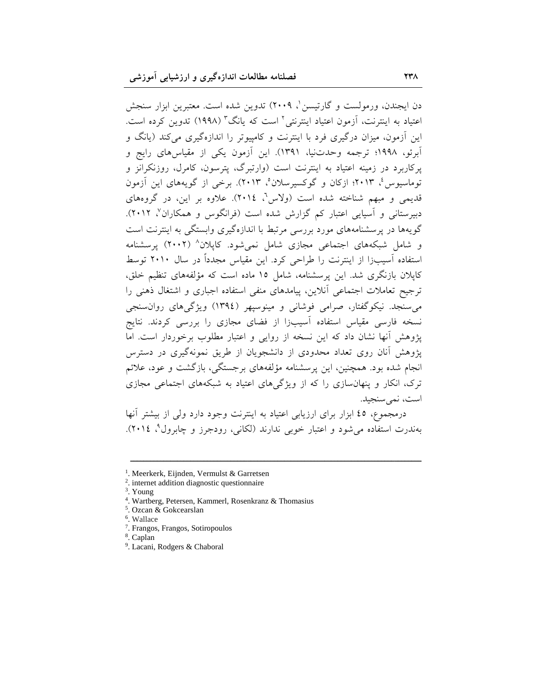دن ایجندن، ورمولست و گارتیسن '، ۲۰۰۹) تدوین شده است. معتبرین ابزار سنجش اعتیاد به اینترنت، آزمون اعتیاد اینترنتی<sup>۲</sup> است که یانگ<sup>۳</sup> (۱۹۹۸) تدوین کرده است. این آزمون، میزان درگیری فرد با اینترنت و کامپیوتر را اندازهگیری می کند (پانگ و أبرئو، ۱۹۹۸؛ ترجمه وحدتنیا، ۱۳۹۱). این أزمون یکی از مقیاسهای رایج و یرکاربرد در زمینه اعتیاد به اینترنت است (وارتبرگ، پترسون، کامرل، روزنکرانز و توماسیوس ٔ، ۲۰۱۳؛ ازکان و گوکسیرسلان ْ، ۲۰۱۳). برخی از گویههای این آزمون قدیمی و مبهم شناخته شده است (ولاس<sup>٬</sup>، ۲۰۱٤). علاوه بر این، در گروههای دبیرستانی و آسیایی اعتبار کم گزارش شده است (فرانگوس و همکاران<sup>۷</sup>، ۲۰۱۲). گویهها در پرسشنامههای مورد بررسی مرتبط با اندازهگیری وابستگی به اینترنت است و شامل شبکههای اجتماعی مجازی شامل نمیشود. کاپلان<sup>۸</sup> (۲۰۰۲) پرسشنامه استفاده آسیبزا از اینترنت را طراحی کرد. این مقیاس مجدداً در سال ۲۰۱۰ توسط کاپلان بازنگری شد. این پرسشنامه، شامل ۱۵ ماده است که مؤلفههای تنظیم خلق، ترجیح تعاملات اجتماعی انلاین، پیامدهای منفی استفاده اجباری و اشتغال ذهنی را میسنجد. نیکوگفتار، صرامی فوشانی و مینوسپهر (١٣٩٤) ویژگیهای روانسنجی نسخه فارسی مقیاس استفاده آسیبزا از فضای مجازی را بررسی کردند. نتایج پژوهش أنها نشان داد که این نسخه از روایی و اعتبار مطلوب برخوردار است. اما یژوهش أنان روی تعداد محدودی از دانشجویان از طریق نمونهگیری در دسترس انجام شده بود. همچنین، این پرسشنامه مؤلفههای برجستگی، بازگشت و عود، علائم ترک، انکار و پنهانسازی را که از ویژگیهای اعتیاد به شبکههای اجتماعی مجازی است، نمی سنجید.

درمجموع، ٤٥ ابزار براى ارزيابي اعتياد به اينترنت وجود دارد ولي از بيشتر أنها بهندرت استفاده میشود و اعتبار خوبی ندارند (لکانی، رودجرز و چابرول°، ۲۰۱٤).

 $\overline{\phantom{a}$ 

<sup>&</sup>lt;sup>1</sup>. Meerkerk, Eijnden, Vermulst & Garretsen

<sup>2</sup> . internet addition diagnostic questionnaire

<sup>3</sup> . Young

<sup>4</sup> . Wartberg, Petersen, Kammerl, Rosenkranz & Thomasius

<sup>5</sup> . Ozcan & Gokcearslan

<sup>6</sup> . Wallace

<sup>7</sup> . Frangos, Frangos, Sotiropoulos

<sup>8</sup> . Caplan

<sup>9</sup> . Lacani, Rodgers & Chaboral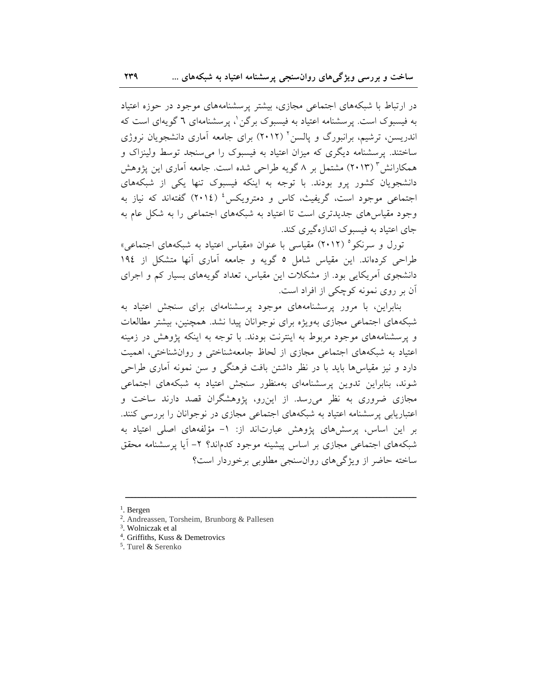در ارتباط با شبکههای اجتماعی مجازی، بیشتر پرسشنامههای موجود در حوزه اعتیاد به فیسبوک است. پرسشنامه اعتیاد به فیسبوک برگن \، پرسشنامهای ٦ گویهای است که اندریسن، ترشیم، برانبورگ و پالسن<sup>۲</sup> (۲۰۱۲) برای جامعه آماری دانشجویان نروژی ساختند. پرسشنامه دیگری که میزان اعتیاد به فیسبوک را می سنجد توسط ولینزاک و همکارانش ۳ (۲۰۱۳) مشتمل بر ۸ گویه طراحی شده است. جامعه آماری این یژوهش دانشجویان کشور پرو بودند. با توجه به اینکه فیسبوک تنها یکی از شبکههای اجتماعی موجود است، گریفیث، کاس و دمترویکس<sup>،</sup> (٢٠١٤) گفتهاند که نیاز به وجود مقیاس های جدیدتری است تا اعتیاد به شبکههای اجتماعی را به شکل عام به جای اعتباد به فیسیوک اندازهگیری کند.

تورل و سرنکو<sup>ه</sup> (۲۰۱۲) مقیاسی با عنوان «مقیاس اعتیاد به شبکههای اجتماعی» طراحی کردهاند. این مقیاس شامل ٥ گویه و جامعه آماری آنها متشکل از ١٩٤ دانشجوی آمریکایی بود. از مشکلات این مقیاس، تعداد گویههای بسیار کم و اجرای آن بر روی نمونه کوچکی از افراد است.

بنابراین، با مرور پرسشنامههای موجود پرسشنامهای برای سنجش اعتیاد به شبکههای اجتماعی مجازی بهویژه برای نوجوانان پیدا نشد. همچنین، بیشتر مطالعات و پرسشنامههای موجود مربوط به اینترنت بودند. با توجه به اینکه پژوهش در زمینه اعتیاد به شبکههای اجتماعی مجازی از لحاظ جامعهشناختی و روانشناختی، اهمیت دارد و نیز مقیاسها باید با در نظر داشتن بافت فرهنگی و سن نمونه آماری طراحی شوند، بنابراین تدوین پرسشنامهای بهمنظور سنجش اعتیاد به شبکههای اجتماعی مجازی ضروری به نظر میررسد. از این رو، پژوهشگران قصد دارند ساخت و اعتباریابی پرسشنامه اعتیاد به شبکههای اجتماعی مجازی در نوجوانان را بررسی کنند. بر این اساس، پرسش های پژوهش عبارتاند از: ١- مؤلفههای اصلی اعتیاد به شبکههای اجتماعی مجازی بر اساس پیشینه موجود کدماند؟ ۲– آیا پرسشنامه محقق ساخته حاضر از ویژگی های روانسنجی مطلوبی برخوردار است؟

<sup>4</sup>. Griffiths, Kuss & Demetrovics

 $<sup>1</sup>$ . Bergen</sup>

<sup>&</sup>lt;sup>2</sup>. Andreassen, Torsheim, Brunborg & Pallesen

<sup>&</sup>lt;sup>3</sup>. Wolniczak et al

<sup>&</sup>lt;sup>5</sup>. Turel & Serenko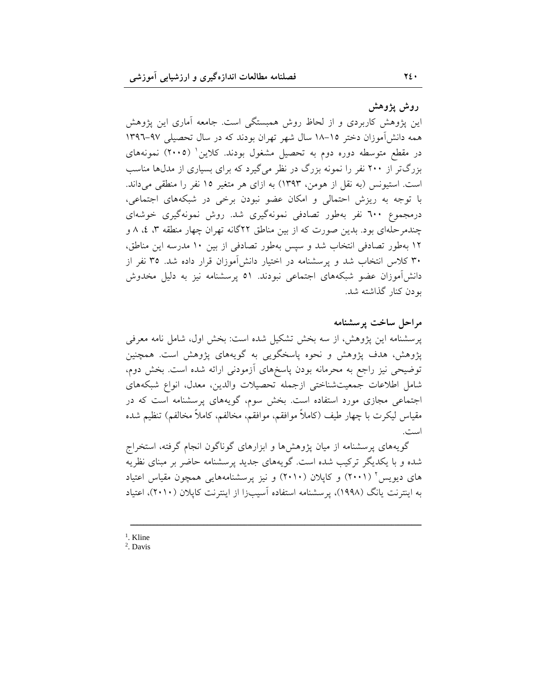روش يژوهش

این پژوهش کاربردی و از لحاظ روش همبستگی است. جامعه آماری این پژوهش همه دانش آموزان دختر ١٥-١٨ سال شهر تهران بودند كه در سال تحصيلي ٩٧-١٣٩٦ در مقطع متوسطه دوره دوم به تحصیل مشغول بودند. کلاین (۲۰۰۵) نمونههای بزرگتر از ۲۰۰ نفر را نمونه بزرگ در نظر می گیرد که برای بسیاری از مدلها مناسب است. استیونس (به نقل از هومن، ۱۳۹۳) به ازای هر متغیر ۱۵ نفر را منطقی میداند. با توجه به ریزش احتمالی و امکان عضو نبودن برخی در شبکههای اجتماعی، درمجموع ٦٠٠ نفر بهطور تصادفی نمونهگیری شد. روش نمونهگیری خوشهای چندمرحلهای بود. بدین صورت که از بین مناطق ۲۲گانه تهران چهار منطقه ۳، ٤، ٨ و ۱۲ بهطور تصادفی انتخاب شد و سپس بهطور تصادفی از بین ۱۰ مدرسه این مناطق، ۳۰ کلاس انتخاب شد و پرسشنامه در اختیار دانش[موزان قرار داده شد. ۳۵ نفر از دانشآموزان عضو شبکههای اجتماعی نبودند. ٥١ پرسشنامه نیز به دلیل مخدوش بودن كنار گذاشته شد.

مراحل ساخت پرسشنامه پرسشنامه این پژوهش، از سه بخش تشکیل شده است: بخش اول، شامل نامه معرفی یژوهش، هدف پژوهش و نحوه پاسخگویی به گویههای پژوهش است. همچنین توضیحی نیز راجع به محرمانه بودن پاسخهای آزمودنی ارائه شده است. بخش دوم، شامل اطلاعات جمعيتشناختى ازجمله تحصيلات والدين، معدل، انواع شبكههاى اجتماعی مجازی مورد استفاده است. بخش سوم، گویههای پرسشنامه است که در مقياس ليكرت با چهار طيف (كاملاً موافقم، موافقم، مخالفم، كاملاً مخالفم) تنظيم شده است.

گویههای پرسشنامه از میان پژوهشها و ابزارهای گوناگون انجام گرفته، استخراج شده و با یکدیگر ترکیب شده است. گویههای جدید پرسشنامه حاضر بر مبنای نظریه های دیویس ٔ (۲۰۰۱) و کاپلان (۲۰۱۰) و نیز پرسشنامههایی همچون مقیاس اعتیاد به اینترنت یانگ (۱۹۹۸)، پرسشنامه استفاده اَسیبزا از اینترنت کایلان (۲۰۱۰)، اعتیاد

 $<sup>1</sup>$  Kline</sup>

<sup>2</sup>. Davis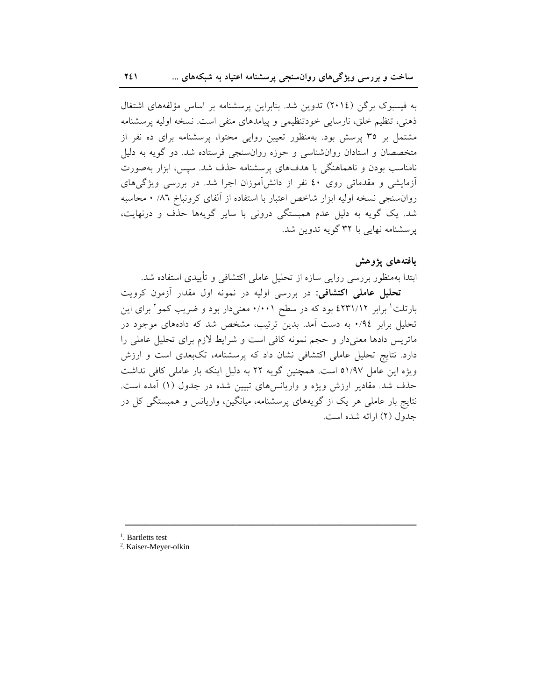به فیسبوک برگن (٢٠١٤) تدوین شد. بنابراین پرسشنامه بر اساس مؤلفههای اشتغال ذهنی، تنظیم خلق، نارسایی خودتنظیمی و پیامدهای منفی است. نسخه اولیه پرسشنامه مشتمل بر ۳۵ پرسش بود. بهمنظور تعیین روایی محتوا، پرسشنامه برای ده نفر از متخصصان و استادان روانشناسی و حوزه روانسنجی فرستاده شد. دو گویه به دلیل نامناسب بودن و ناهماهنگی با هدفهای پرسشنامه حذف شد. سپس، ابزار بهصورت آزمایشی و مقدماتی روی ٤٠ نفر از دانشآموزان اجرا شد. در بررسی ویژگیهای روان سنجي نسخه اوليه ابزار شاخص اعتبار با استفاده از آلفاي كرونباخ ٨٦/ ٠ محاسبه شد. یک گویه به دلیل عدم همبستگی درونی با سایر گویهها حذف و درنهایت، یرسشنامه نهایی با ۳۲ گویه تدوین شد.

## يافتەھاي يژوهش

ابتدا بهمنظور بررسی روایی سازه از تحلیل عاملی اکتشافی و تأییدی استفاده شد. <mark>تحلیل عاملی اکتشافی:</mark> در بررسی اولیه در نمونه اول مقدار آزمون کرویت بارتلت' برابر ۶۲۳۱/۱۲ بود که در سطح ۰/۰۰۱ معنیدار بود و ضریب کمو<sup>۲</sup> برای این تحلیل برابر ۰/۹٤ به دست آمد. بدین ترتیب، مشخص شد که دادههای موجود در ماتریس دادها معنیدار و حجم نمونه کافی است و شرایط لازم برای تحلیل عاملی را دارد. نتایج تحلیل عاملی اکتشافی نشان داد که پرسشنامه، تکبعدی است و ارزش ویژه این عامل ۵۱/۹۷ است. همچنین گویه ۲۲ به دلیل اینکه بار عاملی کافی نداشت حذف شد. مقادیر ارزش ویژه و واریانسهای تبیین شده در جدول (۱) آمده است. نتایج بار عاملی هر یک از گویههای پرسشنامه، میانگین، واریانس و همبستگی کل در جدول (٢) ارائه شده است.

 $\overline{\phantom{a}$ 

<sup>1</sup>. Bartletts test

2 . Kaiser-Meyer-olkin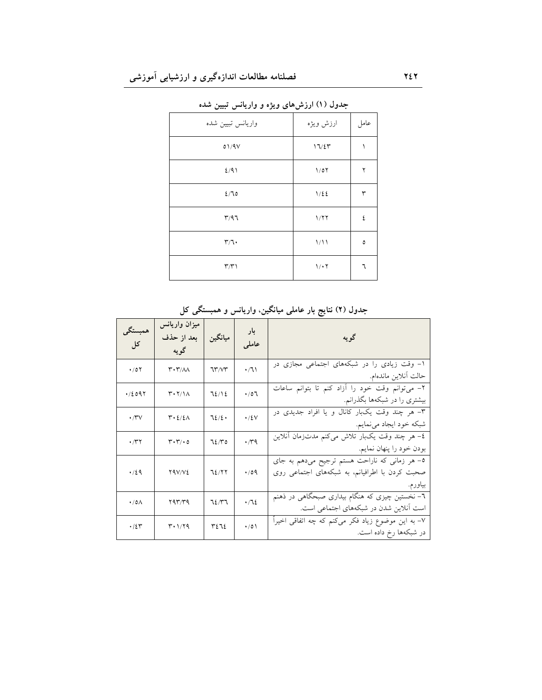| واريانس تبيين شده                 | ارزش ويژه | عامل          |
|-----------------------------------|-----------|---------------|
| 01/9V                             | 17/27     | ١             |
| 2/91                              | 1/07      | ٢             |
| 2/70                              | 1/22      | ٣             |
| $\mathsf{r}/\mathsf{q}\mathsf{n}$ | 1/77      | ٤             |
| $\mathbf{r}/\mathbf{1}$           | 1/11      | $\pmb{\circ}$ |
| $\Upsilon/\Upsilon$               | 1/17      | ٦             |

جدول (۱) ارزشهای ویژه و واریانس تبیین شده

| همبستگي<br>کل       | میزان واریانس<br>بعد از حذف<br>گويه               | ميانگين      | بار<br>عاملى | ا است که به است که به است که به است که به است که به است که به است که به است که به است که به است که ب<br>منابه است که به است که به است که به است که به است که به است که به است که به است که به است که به است که به است<br>است که به |
|---------------------|---------------------------------------------------|--------------|--------------|------------------------------------------------------------------------------------------------------------------------------------------------------------------------------------------------------------------------------------|
| $\cdot$ /07         | $\mathbf{r} \cdot \mathbf{r}$ / $\Lambda \Lambda$ | 71 V V       | $\cdot/1$    | ۱– وقت زیادی را در شبکههای اجتماعی مجازی در<br>حالت أنلاين ماندهام.                                                                                                                                                                |
| $\cdot$ / 2097      | $\mathsf{r}\cdot\mathsf{r}\wedge\mathsf{r}$       | 72/12        | $\cdot$ /07  | ۲– میتوانم وقت خود را ازاد کنم تا بتوانم ساعات<br>بیشتری را در شبکهها بگذرانم.                                                                                                                                                     |
| ۰٬۳۷                | $r \cdot \frac{\epsilon}{\epsilon}$               | ٦٤/٤ $\cdot$ | $\cdot$ /٤٧  | ۳– هر چند وقت یکبار کانال و یا افراد جدیدی در<br>شبکه خود ایجاد مینمایم.                                                                                                                                                           |
| ۰/۳۲                | $\mathbf{r}\cdot\mathbf{r}/\cdot\mathbf{0}$       | 72/۳۵        | $\cdot$ rq   | ٤– هر چند وقت یکبار تلاش میکنم مدتزمان أنلاین<br>بودن خود را پنهان نمايم.                                                                                                                                                          |
| $\cdot$ /29         | YAV/V <sub>2</sub>                                | 72/77        | .09          | ٥– هر زمانی که ناراحت هستم ترجیح میدهم به جای<br>صحبت کردن با اطرافیانم، به شبکههای اجتماعی روی                                                                                                                                    |
| $\cdot$ /0 $\wedge$ | ۲۹۳/۳۹                                            | 72/۳7        | .712         | ٦- نخستین چیزی که هنگام بیداری صبحگاهی در ذهنم<br>است آنلاین شدن در شبکههای اجتماعی است.                                                                                                                                           |
| ۰/٤٣                | ۳۰۱/۲۹                                            | ٣٤٦٤         | $\cdot/0$    | ۷– به این موضوع زیاد فکر میکنم که چه اتفاقی اخیرا<br>در شبکهها رخ داده است.                                                                                                                                                        |

جدول (۲) نتایج بار عاملی میانگین، واریانس و همبستگی کل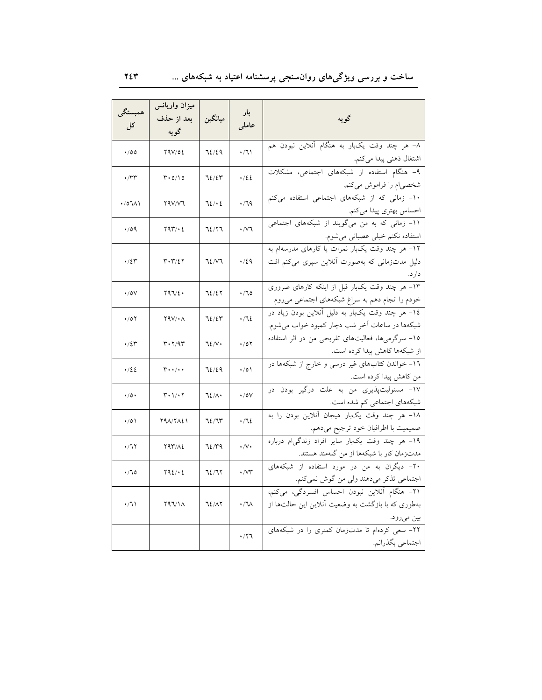## ساخت و بررسی ویژگیهای روانسنجی پرسشنامه اعتیاد به شبکههای …

| همبستگي<br>کل      | ميزان واريانس<br>بعد از حذف<br>گويه                 | ميانگين | بار<br>عاملى                | ر است.<br>منابع السابق السابق السابق السابق السابق السابق السابق السابق السابق السابق السابق السابق السابق السابق<br>منابع السابق السابق السابق السابق السابق السابق السابق السابق السابق السابق السابق السابق السابق السابق السابق |
|--------------------|-----------------------------------------------------|---------|-----------------------------|-------------------------------------------------------------------------------------------------------------------------------------------------------------------------------------------------------------------------------------|
| ۰/٥٥               | 29V/02                                              | 72/29   | .71                         | ۸– هر چند وقت یکبار به هنگام آنلاین نبودن هم                                                                                                                                                                                        |
| $\cdot$ /۳۳        | $\mathbf{r} \cdot \mathbf{o}/\mathbf{1} \mathbf{o}$ | 72/25   | .122                        | اشتغال ذهنی پیدا میکنم.<br>۹– هنگام استفاده از شبکههای اجتماعی، مشکلات                                                                                                                                                              |
| ۱۸۱-۱۵             | Y4V/Y7                                              | 72/62   | .79                         | شخصی م را فراموش میکنم.<br>۱۰– زمانی که از شبکههای اجتماعی استفاده میکنم                                                                                                                                                            |
| $\cdot$ /09        | 797.6                                               | 72/77   | $\cdot$ / $\vee$ $\uparrow$ | احساس بهتری پیدا میکنم.<br>۱۱– زمانی که به من میگویند از شبکههای اجتماعی<br>استفاده نکنم خیلی عصبان <u>ی می<sup>ش</sup>وم.</u>                                                                                                      |
| ۰/٤٣               | ۳۰۳/٤۲                                              | 72/77   | ۰/٤٩                        | ۱۲– هر چند وقت یکبار نمرات یا کارهای مدرسهام به<br>دلیل مدتزمانی که بهصورت آنلاین سپری میکنم افت                                                                                                                                    |
| $\cdot$ / 0 $\vee$ | ۲۹٦/٤٠                                              | 72/27   | $\cdot$ / 70                | ١٣- هر چند وقت يکبار قبل از اينکه کارهاي ضروري<br>خودم را انجام دهم به سراغ شبکههای اجتماعی میروم                                                                                                                                   |
| ۰/٥۲               | 297/08                                              | ٦٤/٤٣   | .712                        | ١٤- هر چند وقت يکبار به دليل آنلاين بودن زياد در<br>شبكهها در ساعات أخر شب دچار كمبود خواب مى شوم.                                                                                                                                  |
| ۰/٤٣               | $\mathsf{r}\cdot\mathsf{r}/\mathsf{q}\mathsf{r}$    | ٦٤/٧٠   | $\cdot$ /07                 | ۱۵– سرگرمیها، فعالیتهای تفریحی من در اثر استفاده<br>از شبکهها کاهش پیدا کرده است.                                                                                                                                                   |
| ٤٤/٠               | $\mathbf{r} \cdot \cdot / \cdot \cdot$              | 72/29   | $\cdot/0$                   | -<br>۱ <mark>۲</mark> - خواندن کتابهای غیر درس <sub>ی</sub> و خارج از شبکهها در                                                                                                                                                     |
| $\cdot$ /0 $\cdot$ | ۲۰۱/۰۲                                              | ٦٤/٨٠   | $\cdot$ /0V                 | ۱۷– مسئولیتپذیری من به علت درگیر بودن در<br>شبکههای اجتماعی کم شده است.                                                                                                                                                             |
| $\cdot/0)$         | <b>TAA/TAE1</b>                                     | ٦٤/٦٣   | .712                        | ۱۸– هر چند وقت یکبار هیجان آنلاین بودن را به<br>صميميت با اطرافيان خود ترجيح مىدهم.                                                                                                                                                 |
| .77                | 793/12                                              | 72/۳۹   | $\cdot/\vee\cdot$           | ۱۹- هر چند وقت یکبار سایر افراد زندگی۱م درباره<br>مدتزمان كار با شبكهها از من گلهمند هستند.                                                                                                                                         |
| ۰/٦٥               | $Y92/\cdot 2$                                       | 72/7۲   | $\cdot$ / $\vee\tau$        | -۲۰- دیگران به من در مورد استفاده از شبکههای<br>اجتماعی تذکر میدهند ولی من گوش نمیکنم.                                                                                                                                              |
| ۰/٦١               | ۲۹٦/۱۸                                              | 72/17   | ۰/٦٨                        | ٢١- هنگام آنلاين نبودن احساس افسردگي، ميكنم،<br>بهطوری که با بازگشت به وضعیت آنلاین این حالتها از<br>بين ميرود.                                                                                                                     |
|                    |                                                     |         | ۰/۲٦                        | -<br>۲۲– سعی کردهام تا مدتزمان کمتری را در شبکههای<br>اجتماعي بگذرانم.                                                                                                                                                              |

 $Y \xi Y$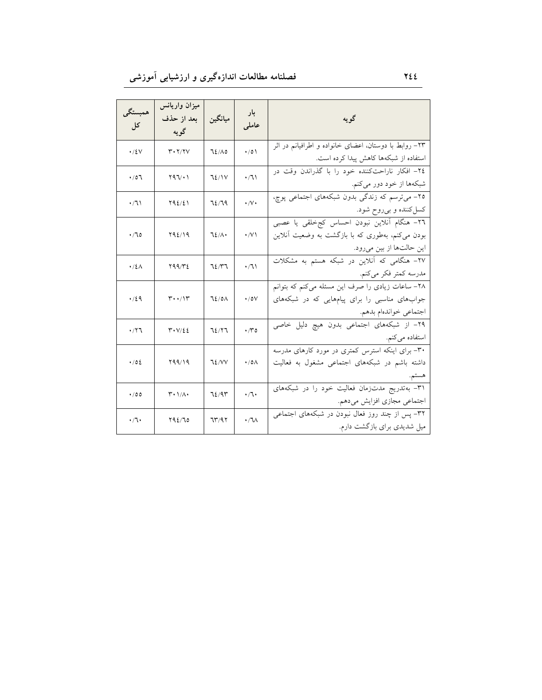| همبستگي<br>کل | میزان واریانس<br>بعد از حذف<br>گويه                           | ميانگين      | بار<br>عاملى        | گويه                                                                                                                                     |
|---------------|---------------------------------------------------------------|--------------|---------------------|------------------------------------------------------------------------------------------------------------------------------------------|
| $\cdot$ /٤٧   | $\mathbf{r} \cdot \mathbf{y}/\mathbf{y}$                      | 72/10        | $\cdot/0$           | ۲۳– روابط با دوستان، اعضای خانواده و اطرافیانم در اثر<br>استفاده از شبکهها کاهش پیدا کرده است.                                           |
| 701.          | ۲۹٦/۰۱                                                        | 72/1V        | $\cdot/7$           | ۲٤– افکار ناراحتکننده خود را با گذراندن وقت در<br>شبکهها از خود دور میکنم.                                                               |
| ۰/٦۱          | 792/21                                                        | 72/79        | $\cdot$ /V $\cdot$  | ۲۵- می ترسم که زندگی بدون شبکههای اجتماعی پوچ،<br>کسل کننده و بي روح شود.                                                                |
| ۰/٦٥          | Y92/19                                                        | $72/\lambda$ | $\cdot$ /V)         | ٢٦- هنگام آنلاین نبودن احساس کجخلقی یا عصبی<br>بودن میکنم، بهطوری که با بازگشت به وضعیت أنلاین<br>این حالتها از بین میرود.               |
| ۰/٤۸          | ۲۹۹/۳٤                                                        | 72/۳7        | ۰/٦۱                | ۲۷– هنگامی که آنلاین در شبکه هستم به مشکلات<br>مدرسه كمتر فكر ميكنم.                                                                     |
| .729          | $\mathbf{r}\cdot\mathbf{1}\mathbf{r}$                         | 72/0A        | $\cdot$ /0 $\vee$   | ۲۸– ساعات زیادی را صرف این مسئله <mark>میکنم که بتوانم</mark><br>جوابهای مناسبی را برای پیامهایی که در شبکههای<br>اجتماعي خواندهام بدهم. |
| ۰/۲٦          | $\mathbf{r} \cdot \mathbf{V}/\mathbf{\Sigma} \mathbf{\Sigma}$ | 72/77        | $\cdot$ ro          | ۲۹– از شبکههای اجتماعی بدون هیچ دلیل خاصی<br>استفاده میکنم.                                                                              |
| $\cdot$ /02   | 199/19                                                        | 72/VV        | $\cdot$ /0 $\wedge$ | ۳۰– برای اینکه استرس کمتری در مورد کارهای مدرسه<br>داشته باشم در شبکههای اجتماعی مشغول به فعالیت                                         |
| ۰/٥٥          | $\mathsf{r}\cdot\mathsf{1}/\mathsf{A}\cdot$                   | 72/97        | $\cdot 7 \cdot$     | ۳۱– بهتدریج مدتزمان فعالیت خود را در شبکههای<br>اجتماعی مجازی افزایش میدهم.                                                              |
| ۰٫٦۰          | Y92/70                                                        | ٦٣/٩٢        | $\cdot$ /٦ $\wedge$ | ۳۲- پس از چند روز فعال نبودن در شبکههای اجتماعی<br>میل شدیدی برای بازگشت دارم.                                                           |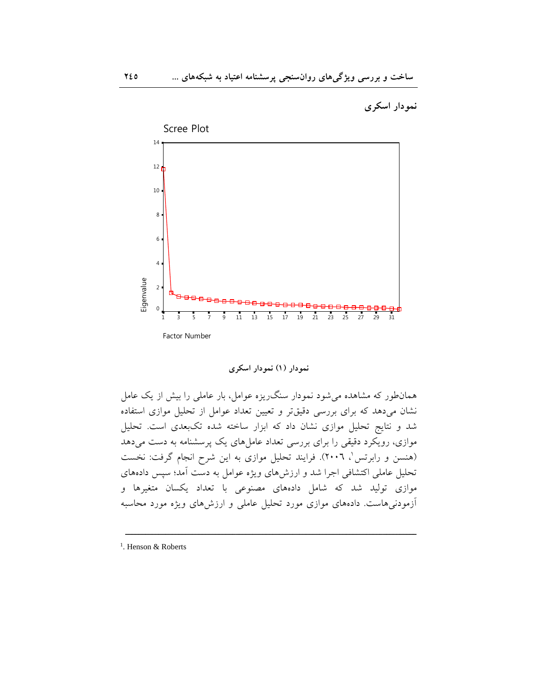نمودار اسکری



نمودار (۱) نمودار اسکری

همانطور که مشاهده میشود نمودار سنگ<code>ریزه عوامل، بار عاملی را بیش از یک عامل</code> نشان میدهد که برای بررسی دقیقتر و تعیین تعداد عوامل از تحلیل موازی استفاده شد و نتایج تحلیل موازی نشان داد که ابزار ساخته شده تکبعدی است. تحلیل موازی، رویکرد دقیقی را برای بررسی تعداد عاملهای یک پرسشنامه به دست میدهد (هنسن و رابرتس'، ٢٠٠٦). فرایند تحلیل موازی به این شرح انجام گرفت: نخست تحلیل عاملی اکتشافی اجرا شد و ارزش۵ای ویژه عوامل به دست آمد؛ سپس دادههای موازی تولید شد که شامل دادههای مصنوعی با تعداد یکسان متغیرها و أزمودنیهاست. دادههای موازی مورد تحلیل عاملی و ارزشهای ویژه مورد محاسبه

 $\overline{\phantom{a}$ 

<sup>&</sup>lt;sup>1</sup>. Henson & Roberts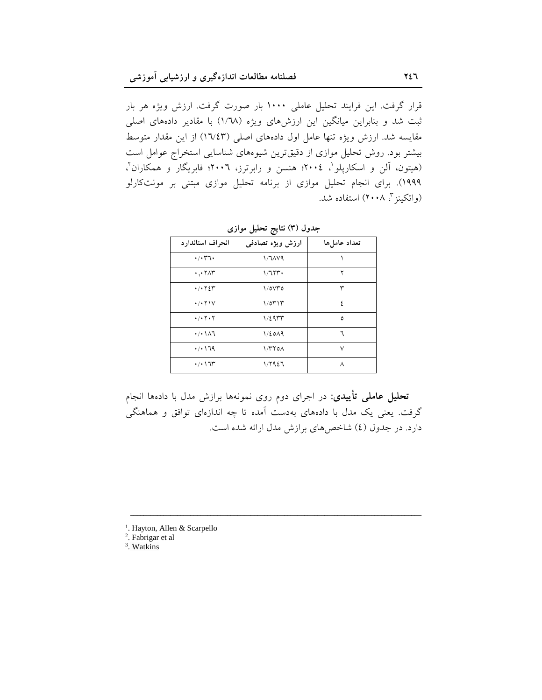قرار گرفت. این فرایند تحلیل عاملی ۱۰۰۰ بار صورت گرفت. ارزش ویژه هر بار ثبت شد و بنابراین میانگین این ارزشهای ویژه (۱/٦۸) با مقادیر دادههای اصلی مقایسه شد. ارزش ویژه تنها عامل اول دادههای اصلی (۱٦/٤٣) از این مقدار متوسط بیشتر بود. روش تحلیل موازی از دقیقترین شیوههای شناسایی استخراج عوامل است (هیتون، آلن و اسکارپلو '، ۲۰۰٤؛ هنسن و رابرترز، ۲۰۰٦؛ فابریگار و همکاران '، ۱۹۹۹). برای انجام تحلیل موازی از برنامه تحلیل موازی مبتنی بر مونتکارلو (واتکینز "، ۲۰۰۸) استفاده شد.

| انحراف استاندارد                               | ارزش ويژه تصادفي | تعداد عاملها |
|------------------------------------------------|------------------|--------------|
| $\cdot/\cdot$ $\mathsf{r}$ $\cdot$             | $1/7$ $AV9$      |              |
| $\cdot \cdot$ $\cdot \wedge \tau$              | ۱/٦۲۳۰           | ۲            |
| $\cdot$ / $\cdot$ $\cdot$ $\cdot$ $\cdot$      | $\frac{1}{0}$    | ٣            |
| $\cdot$ / $\cdot$ $\uparrow$ $\uparrow$ $\vee$ | ۱/٥٣١٣           | ٤            |
| $\cdot$ / $\cdot$ $\cdot$ $\cdot$ $\cdot$      | ۱/٤٩٣٣           | ٥            |
| $\cdot$ / $\cdot$ $\wedge$ $\wedge$            | 1/2019           | ٦            |
| .7.179                                         | 1/T              | ٧            |
| $\cdot$ / $\cdot$ / $\tau$                     | 1/ 7927          | ٨            |

جدول (۳) نتایج تحلیل موازی

<mark>تحلیل عاملی تأییدی</mark>: در اجرای دوم روی نمونهها برازش مدل با دادهها انجام گرفت. یعنی یک مدل با دادههای بهدست آمده تا چه اندازهای توافق و هماهنگی دارد. در جدول (٤) شاخص های برازش مدل ارائه شده است.

 $\overline{\phantom{a}$ 

<sup>1</sup>. Hayton, Allen & Scarpello

2 . Fabrigar et al

3 . Watkins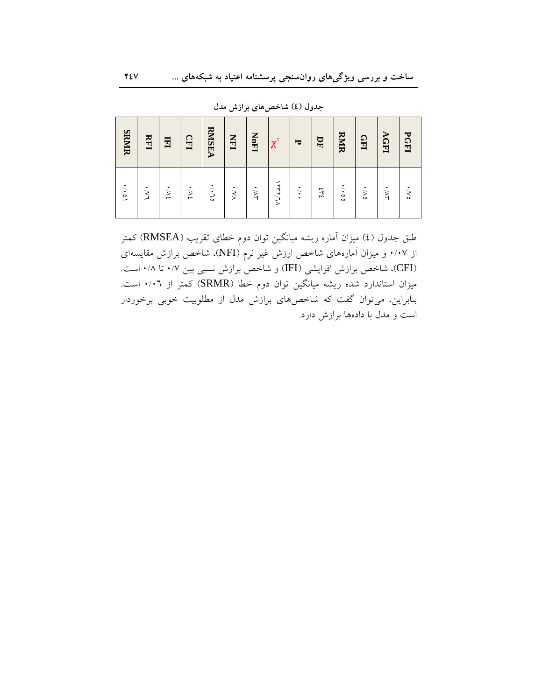| <b>SRMIR</b>  | RFI          | 国          | <b>CEI</b> | <b>RMSEA</b>      | $\sum_{i=1}^{n}$ | <b>NnF1</b>       | $\chi^{\text{v}}$ | $\overline{\mathbf{v}}$ | $\mathbf{H}$ | <b>RMIR</b>    | Ш            | <b>AGFI</b>       | PGFI         |
|---------------|--------------|------------|------------|-------------------|------------------|-------------------|-------------------|-------------------------|--------------|----------------|--------------|-------------------|--------------|
| $\frac{1}{2}$ | $\dot{\leq}$ | $\ddot{M}$ | $\ddot{M}$ | $\cdot$ / $\cdot$ | $\times$         | $\dot{\geqslant}$ | VL/LLV            | $\vdots$                | $3+3$        | $\ddot{\cdot}$ | $\dot{\sim}$ | $\dot{\geqslant}$ | $\dot{\leq}$ |

جدول (٤) شاخصهای برازش مدل

طبق جدول (٤) میزان آماره ریشه میانگین توان دوم خطای تقریب (RMSEA) کمتر از ۰/۰۷ و میزان آمارههای شاخص ارزش غیر نرم (NFI)، شاخص برازش مقایسهای (CFI)، شاخص برازش افزایشی (IFI) و شاخص برازش نسبی بین ۰/۷ تا ۰/۸ است. میزان استاندارد شده ریشه میانگین توان دوم خطا (SRMR) کمتر از ۰/۰٦ است. بنابراین، میتوان گفت که شاخصهای برازش مدل از مطلوبیت خوبی برخوردار است و مدل با دادهها برازش دارد.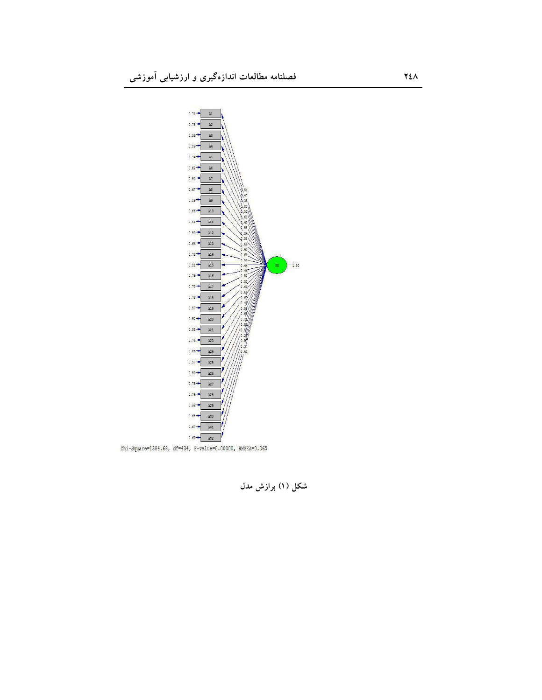

Chi-Square=1384.68, df=434, P-value=0.00000, RMSEA=0.065

شکل (۱) برازش مدل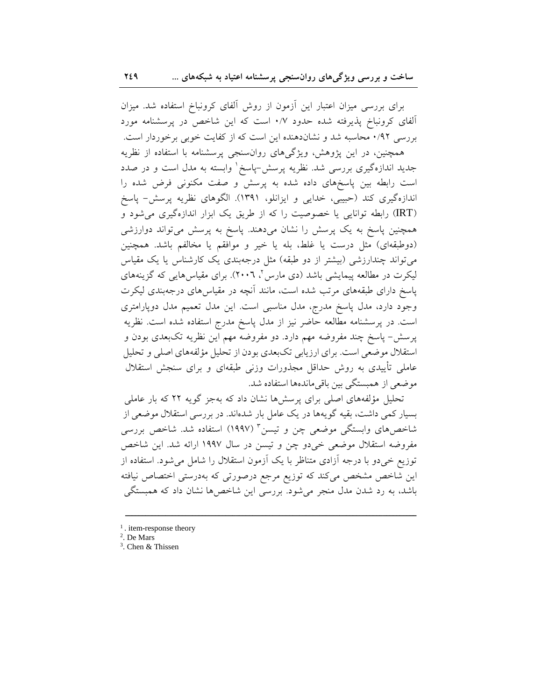برای بررسی میزان اعتبار این آزمون از روش آلفای کرونباخ استفاده شد. میزان آلفای کرونباخ پذیرفته شده حدود ۰/۷ است که این شاخص در پرسشنامه مورد بررسی ۰/۹۲ محاسبه شد و نشاندهنده این است که از کفایت خوبی برخوردار است.

همچنین، در این پژوهش، ویژگیهای روانسنجی پرسشنامه با استفاده از نظریه جدید اندازهگیری بررسی شد. نظریه پرسش-پاسخ ٰ وابسته به مدل است و در صدد است رابطه بین پاسخهای داده شده به پرسش و صفت مکنونی فرض شده را اندازهگیری کند (حبیبی، خدایی و ایزانلو، ۱۳۹۱). الگوهای نظریه پرسش- پاسخ (IRT) رابطه توانایی یا خصوصیت را که از طریق یک ابزار اندازهگیری میشود و همچنین پاسخ به یک پرسش را نشان میدهند. پاسخ به پرسش میتواند دوارزشی (دوطبقهای) مثل درست یا غلط، بله یا خیر و موافقم یا مخالفم باشد. همچنین می تواند چندارزشی (بیشتر از دو طبقه) مثل درجهبندی یک کارشناس یا یک مقیاس لیکرت در مطالعه پیمایشی باشد (دی مارس ٔ، ۲۰۰٦). برای مقیاس هایی که گزینههای پاسخ دارای طبقههای مرتب شده است، مانند آنچه در مقیاس۵ای درجهبندی لیکرت وجود دارد، مدل پاسخ مدرج، مدل مناسبی است. این مدل تعمیم مدل دوپارامتری است. در پرسشنامه مطالعه حاضر نیز از مدل پاسخ مدرج استفاده شده است. نظریه پرسش- پاسخ چند مفروضه مهم دارد. دو مفروضه مهم این نظریه تکبعدی بودن و استقلال موضعی است. برای ارزیابی تکبعدی بودن از تحلیل مؤلفههای اصلی و تحلیل عاملی تأییدی به روش حداقل مجذورات وزنی طبقهای و برای سنجش استقلال موضعی از همبستگی بین باقی ماندهها استفاده شد.

تحلیل مؤلفههای اصلی برای پرسش ها نشان داد که بهجز گویه ۲۲ که بار عاملی بسیار کمی داشت، بقیه گویهها در یک عامل بار شدهاند. در بررسی استقلال موضعی از شاخصهای وابستگی موضعی چن و تیسن<sup>۳</sup> (۱۹۹۷) استفاده شد. شاخص بررسی مفروضه استقلال موضعی خیدو چن و تیسن در سال ۱۹۹۷ ارائه شد. این شاخص توزیع خیدو با درجه آزادی متناظر با یک آزمون استقلال را شامل می شود. استفاده از این شاخص مشخص میکند که توزیع مرجع درصورتی که بهدرستی اختصاص نیافته باشد، به رد شدن مدل منجر می شود. بررسی این شاخص ها نشان داد که همبستگی

 $<sup>1</sup>$ . item-response theory</sup>

<sup>&</sup>lt;sup>2</sup>. De Mars

<sup>&</sup>lt;sup>3</sup>. Chen & Thissen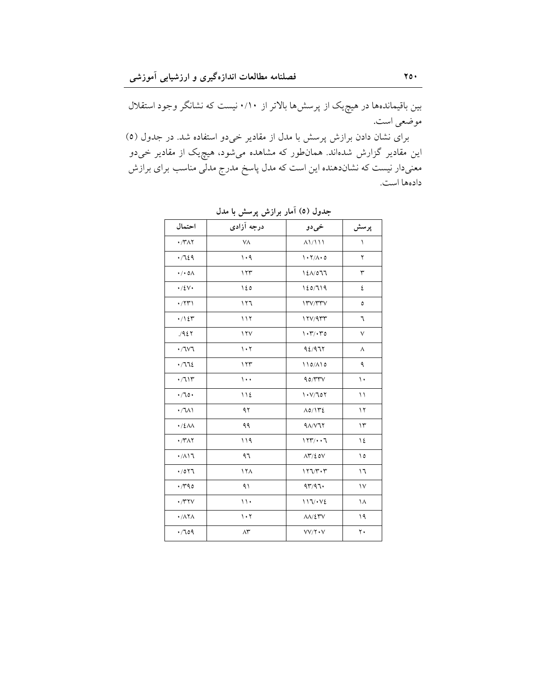بین باقیماندهها در هیچ یک از پرسشها بالاتر از ۰/۱۰ نیست که نشانگر وجود استقلال موضعي است.

برای نشان دادن برازش پرسش با مدل از مقادیر خیدو استفاده شد. در جدول (٥) این مقادیر گزارش شدهاند. همانطور که مشاهده میشود، هیچ<sub>ی</sub>ک از مقادیر خی<mark>دو</mark> معنیدار نیست که نشاندهنده این است که مدل پاسخ مدرج مدلی مناسب برای برازش دادهها است.

| احتمال                               | درجه آزادي                          | خي دو                      | پرسش       |
|--------------------------------------|-------------------------------------|----------------------------|------------|
| $\cdot$ /۳۸۲                         | ٧A                                  | $\Lambda$ 111              | ١          |
| .729                                 | $\cdot$ 9                           | $\cdot 7/\Lambda \cdot 0$  | ٢          |
| $\cdot/\cdot$ o $\wedge$             | 177                                 | 120/077                    | ٣          |
| $\cdot$ /٤ $\vee$                    | ۱٤٥                                 | 120/719                    | ٤          |
| $\cdot$ /۲۳)                         | 117                                 | 17V/TTV                    | ٥          |
| $\cdot / \backslash \mathcal{E}$     | 117                                 | 17V/9rr                    | ٦          |
| .421                                 | $\gamma \gamma$                     | $\cdot \tau / \cdot \tau$  | $\vee$     |
| .7V7                                 | $\mathcal{N}\cdot\mathcal{N}$       | 92/977                     | ٨          |
| .772                                 | 177                                 | $110/\Lambda$ 10           | ٩          |
| $\cdot /711$                         | $\cdots$                            | 90/TTY                     | ١.         |
| .70.                                 | 112                                 | 1.1707                     | ۱۱         |
| $\cdot / \sqrt{1}$                   | ۹۲                                  | $\Lambda$ 0/1۳٤            | $\gamma$   |
| $\cdot$ /٤ $\Lambda\Lambda$          | ۹۹                                  | $9\Lambda/V77$             | $\Upsilon$ |
| $\cdot$ /۳۸۲                         | 119                                 | 177/17                     | ١٤         |
| $\cdot$ / $\wedge$                   | ۹٦                                  | $\Lambda \Upsilon / 20V$   | ۱٥         |
| .7077                                | 17 <sub>A</sub>                     | $177/T \cdot T$            | ۱٦         |
| $\cdot$ /۳۹٥                         | ۹۱                                  | 97/97.                     | $\vee$     |
| $\cdot$ /۳۲ $\vee$                   | $\backslash \backslash$             | 117.442                    | ١٨         |
| $\cdot$ / $\wedge \overline{\wedge}$ | $\mathcal{N}\cdot\mathcal{N}$       | $\Lambda\Lambda/\Sigma$ ۳۷ | ۱۹         |
| .709                                 | $\wedge\!\!{}^{\boldsymbol{\star}}$ | VV/Y                       | ۲.         |

جدول (٥) امار برازش پرسش با مدل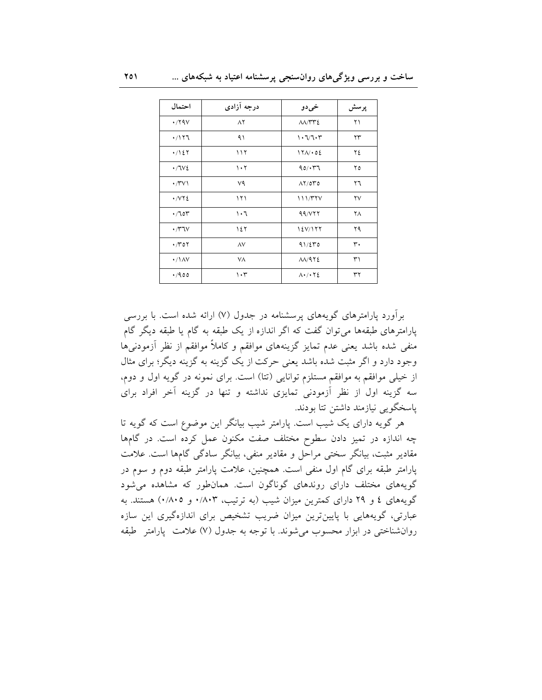| احتمال                             | درجه آزادی | خيدو                                              | پرسش |
|------------------------------------|------------|---------------------------------------------------|------|
| $\cdot$ /۲۹ $\vee$                 | $\wedge$   | $\Lambda\Lambda/\Upsilon\Upsilon\epsilon$         | ۲۱   |
| $\cdot$ /۱۲٦                       | ۹۱         | ۱۰٦/٦۰۳                                           | ۲۳   |
| $\cdot$ /127                       | ۱۱۲        | 171/02                                            | ۲٤   |
| $\cdot$ /7 $V$                     | 1.7        | 90/177                                            | ۲٥   |
| $\cdot$ / $\vee$ $\vee$ $\vee$     | ٧٩         | $\Lambda$                                         | ۲٦   |
| $\cdot$ / $\vee$ $\cdot$ $\vee$    | ۱۲۱        | 111/TYV                                           | ۲٧   |
| .705                               | ۱۰٦        | 99/VTT                                            | ۲۸   |
| $\cdot$ / $\uparrow\downarrow\vee$ | ۱٤٢        | 12V/177                                           | ۲۹   |
| $\cdot \pi$                        | ٨V         | 91/270                                            | ٣٠   |
| $\cdot$ /\AV                       | ٧A         | $\Lambda\Lambda$ /972                             | ٣١   |
| .400                               | $\cdot$ ۳  | $\Lambda$ $\cdot$ / $\cdot$ $\Upsilon$ $\epsilon$ | ٣٢   |

بر آورد یارامترهای گویههای پرسشنامه در جدول (۷) ارائه شده است. با بررسی پارامترهای طبقهها می توان گفت که اگر اندازه از یک طبقه به گام یا طبقه دیگر گام منفی شده باشد یعنی عدم تمایز گزینههای موافقم و کاملاً موافقم از نظر آزمودنیها وجود دارد و اگر مثبت شده باشد یعنی حرکت از یک گزینه به گزینه دیگر؛ برای مثال از خیلی موافقم به موافقم مستلزم توانایی (تتا) است. برای نمونه در گویه اول و دوم. سه گزینه اول از نظر آزمودنی تمایزی نداشته و تنها در گزینه آخر افراد برای ياسخگويي نيازمند داشتن تتا بودند.

هر گویه دارای یک شیب است. پارامتر شیب بیانگر این موضوع است که گویه تا چه اندازه در تمیز دادن سطوح مختلف صفت مکنون عمل کرده است. در گامها مقادیر مثبت، بیانگر سختی مراحل و مقادیر منفی، بیانگر سادگی گامها است. علامت پارامتر طبقه برای گام اول منفی است. همچنین، علامت پارامتر طبقه دوم و سوم در گویههای مختلف دارای روندهای گوناگون است. همانطور که مشاهده می شود گویههای ٤ و ٢٩ دارای کمترین میزان شیب (به ترتیب، ٠/٨٠٣ و ٠/٨٠٥) هستند. به عبارتی، گویههایی با پایینترین میزان ضریب تشخیص برای اندازهگیری این سازه روان شناختی در ابزار محسوب می شوند. با توجه به جدول (۷) علامت پارامتر طبقه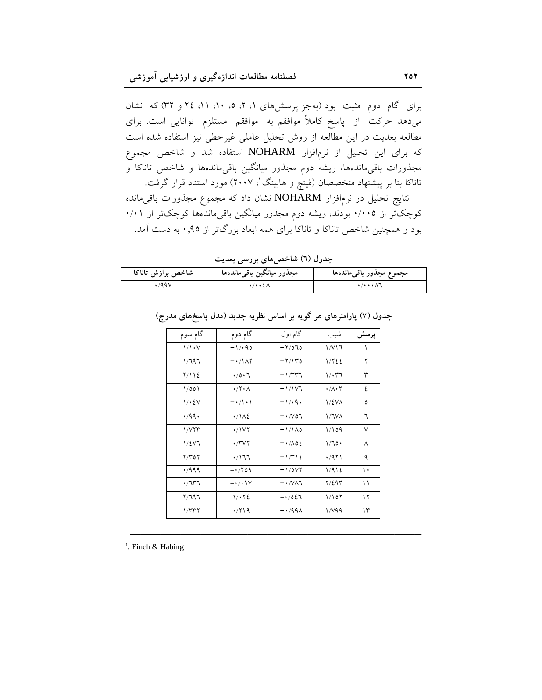برای گام دوم مثبت بود (بهجز پرسشهای ۱، ۲، ۵، ۱۰، ۲۱ و ۳۲) که نشان میدهد حرکت از پاسخ کاملاً موافقم به موافقم مستلزم توانایی است. برای مطالعه بعدیت در این مطالعه از روش تحلیل عاملی غیرخطی نیز استفاده شده است که برای این تحلیل از نرم|فزار NOHARM استفاده شد و شاخص مجموع مجذورات باقی۵ماندهها، ریشه دوم مجذور میانگین باقیماندهها و شاخص تاناکا و تاناکا بنا بر پیشنهاد متخصصان (فینچ و هابینگ'، ۲۰۰۷) مورد استناد قرار گرفت.

نتايج تحليل در نرم|فزار NOHARM نشان داد كه مجموع مجذورات باقىمانده کوچکتر از ۰/۰۰۵ بودند، ریشه دوم مجذور میانگین باقیماندهها کوچکتر از ۰/۰۱ بود و همچنین شاخص تاناکا و تاناکا برای همه ابعاد بزرگتر از ۹۵٫۰ به دست آمد.

جدول (٦) شاخصهای بررسی بعدیت

| شاخص برازش تاناكا | مجذور ميانگين باقىماندەها           | مجموع مجذور باقىءاندهها              |
|-------------------|-------------------------------------|--------------------------------------|
| 199V              | $\cdot$ / $\cdot$ $\cdot$ $\lambda$ | $\cdot$ / $\cdot$ $\cdot$ $\wedge$ 1 |

| گام سوم            | گام دوم                             | گام اول                     | شيب                          | پرسش |
|--------------------|-------------------------------------|-----------------------------|------------------------------|------|
| 1/1. V             | $-1/40$                             | $-7/070$                    | 1/V17                        | ١    |
| ۱/٦۹٦              | $- \cdot / \lambda \Upsilon$        | $-7/10$                     | 1/۲٤٤                        | ٢    |
| 7/112              | $\cdot$ /0 $\cdot$ 7                | $-1/277$                    | $1/\cdot 77$                 | ٣    |
| 1/001              | $\cdot$ /۲ $\cdot$                  | $-1/117$                    | $\cdot/\wedge\cdot\curlyvee$ | ٤    |
| 1/2V               | $-\cdot/ \setminus \cdot \setminus$ | $-1/4$                      | $1/\xi VA$                   | ٥    |
| .799.              | $\cdot/\Delta\epsilon$              | $- \cdot \wedge \circ \tau$ | 1/7VA                        | ٦    |
| 1/VTT              | ۰/۱۷۲                               | $-1/1 \wedge 0$             | 1/109                        | ٧    |
| 1/2V               | $\cdot$ /۳۷۲                        | $ \cdot$ / $\wedge$ 02      | 1/70                         | ٨    |
| $Y/Y$ ٥٢           | ۰/۱٦٦                               | $-1/411$                    | ۰/۹۲۱                        | ٩    |
| .7999              | $-1709$                             | $-1/0V$                     | 1/912                        | ١.   |
| $\cdot$ /7۳7       | $-\cdot/\cdot$ \V                   | $- \cdot / V \wedge T$      | $Y/\xi$ 9٣                   | ۱۱   |
| ۲/٦۹٦              | $1/\cdot 72$                        | $-1027$                     | 1/107                        | ۱۲   |
| $1/\tau \tau \tau$ | .719                                | $- \cdot 1991$              | 1/49                         | ۱۳   |

 $\overline{\phantom{a}$ 

جدول (۷) پارامترهای هر گویه بر اساس نظریه جدید (مدل پاسخهای مدرج)

<sup>1</sup>. Finch & Habing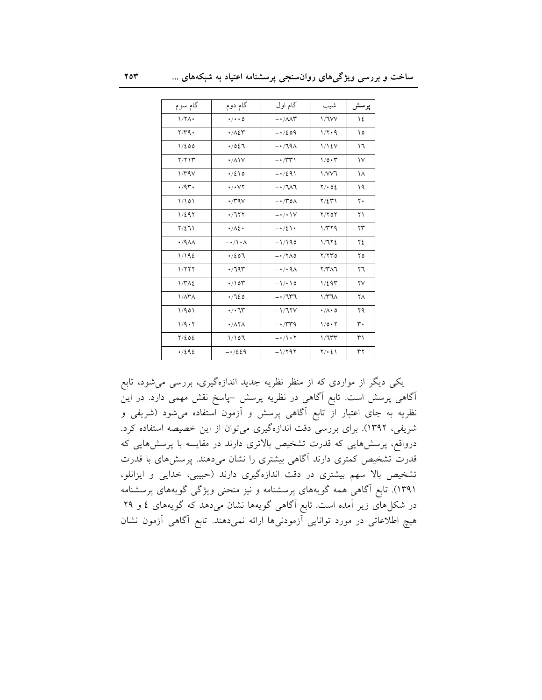| گام سوم                     | گام دوم                             | گام اول                                 | شيب                   | پرسش   |
|-----------------------------|-------------------------------------|-----------------------------------------|-----------------------|--------|
| $1/7\Lambda$                | $\cdot/\cdot\cdot$ 0                | $ \cdot$ / $\wedge$ $\wedge$ $\uparrow$ | 1/7VV                 | ١٤     |
| $\gamma/\gamma q$ .         | $\cdot$ / $\wedge$ $\zeta$ r        | $-1/209$                                | 1/7.9                 | ۱٥     |
| 1/200                       | .7027                               | $-179A$                                 | 1/12V                 | ۱٦     |
| Y/YY                        | $\cdot$ / $\wedge$ $\vee$           | $-1/\tau\tau$                           | 10.7                  | $\vee$ |
| 1/4V                        | $\cdot$ /210                        | $-1/291$                                | 1/VVI                 | ۱۸     |
| .44                         | $\cdot$ / $\cdot$ $\vee$ $\uparrow$ | $-1/7$                                  | $Y \cdot 02$          | ۱۹     |
| 1/101                       | $\cdot$ /۳۹ $\vee$                  | $-\cdot$ / $\uparrow$ 0 $\wedge$        | $Y/\Sigma Y$          | ٢٠     |
| 1/297                       | .7177                               | $-\cdot/\cdot\vee$                      | $Y/Y$ or              | ۲۱     |
| $Y/\Sigma 11$               | $\cdot/\lambda\Omega$               | $-1/2$                                  | 1/779                 | ۲۳     |
| $\cdot$ /9 $\Lambda\Lambda$ | $-\cdot/\cdot \wedge$               | $-1/190$                                | 1/772                 | ٢٤     |
| 1/192                       | .7207                               | $-1700$                                 | Y/YYO                 | ۲٥     |
| 1/777                       | .797                                | $-\cdot$ / $\cdot$ 9 $\wedge$           | $Y/Y\wedge Y$         | ۲٦     |
| 1/T <sub>1</sub>            | $\cdot$ /10 $\tau$                  | $-1/10$                                 | 1/295                 | ۲٧     |
| $1/\lambda$ ۳ $\Lambda$     | .7120                               | $-1777$                                 | 1/T7A                 | ٢٨     |
| 1/901                       | $\cdot/\cdot$ 75                    | $-1/77V$                                | $\cdot/\wedge\cdot$ 0 | ۲۹     |
| 1/9.7                       | $\cdot$ / $\wedge$ $\wedge$         | $-1.74$                                 | $1/\circ \cdot 7$     | ٣٠     |
| $Y/\xi$ o $\xi$             | 1/107                               | $-1/\rightarrow$                        | 1/7                   | ٣١     |
| .7292                       | $-1/229$                            | $-1/797$                                | $Y/\cdot 21$          | ٣٢     |

یکمی دیگر از مواردی که از منظر نظریه جدید اندازهگیری، بررسی میشود، تابع آگاهی پرسش است. تابع آگاهی در نظریه پرسش –پاسخ نقش مهمی دارد. در این نظریه به جای اعتبار از تابع آگاهی پرسش و آزمون استفاده میشود (شریفی و شریفی، ۱۳۹۲). برای بررسی دقت اندازهگیری میتوان از این خصیصه استفاده کرد. درواقع، پرسشهایی که قدرت تشخیص بالاتری دارند در مقایسه با پرسشهایی که قدرت تشخیص کمتری دارند آگاهی بیشتری را نشان میدهند. پرسشهای با قدرت تشخیص بالا سهم بیشتری در دقت اندازهگیری دارند (حبیبی، خدایی و ایزانلو، ۱۳۹۱). تابع آگاهی همه گویههای پرسشنامه و نیز منحنی ویژگی گویههای پرسشنامه در شکلهای زیر آمده است. تابع آگاهی گویهها نشان میدهد که گویههای ٤ و ٢٩ هیچ اطلاعاتی در مورد توانایی آزمودنیها ارائه نمیدهند. تابع آگاهی آزمون نشان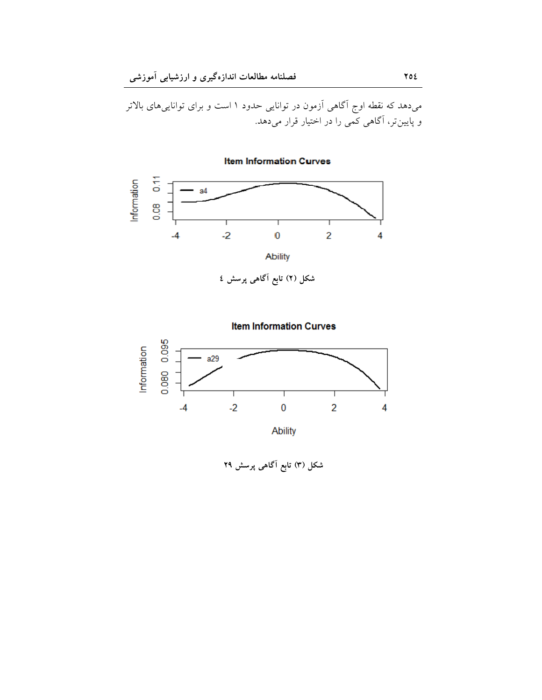میدهد که نقطه اوج آگاهی آزمون در توانایی حدود ۱ است و برای تواناییهای بالاتر<br>و پایین تر، آگاهی کمی را در اختیار قرار میدهد.

**Item Information Curves** 

 $0.08$  0.11 Information  $a<sub>4</sub>$  $-2$  $\ddot{\mathbf{0}}$  $\overline{2}$  $-4$ 4 Ability

شکل (۲) تابع آگاهی پرسش ٤



شکل (۳) تابع آگاهی پرسش ۲۹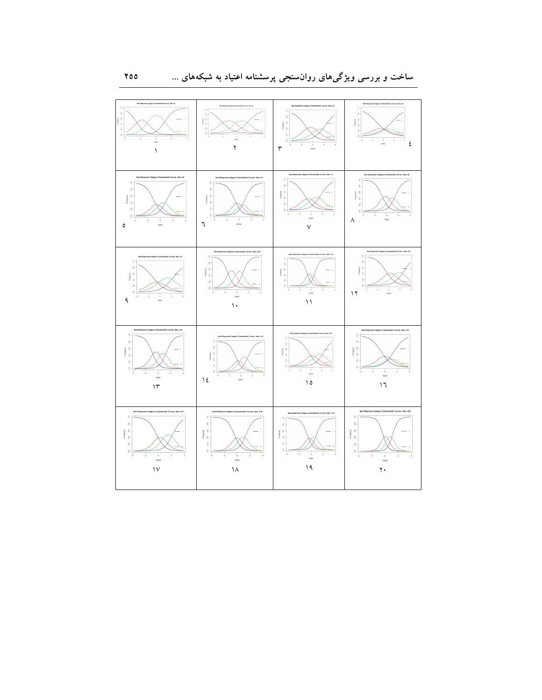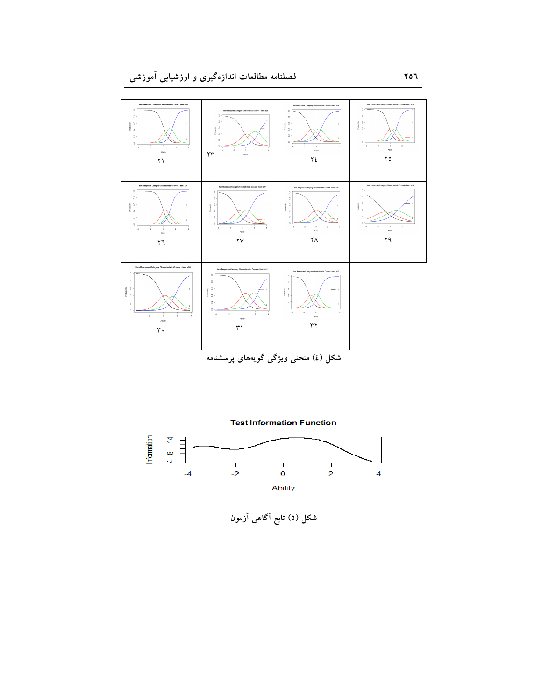



شکل (٥) تابع آگاهی آزمون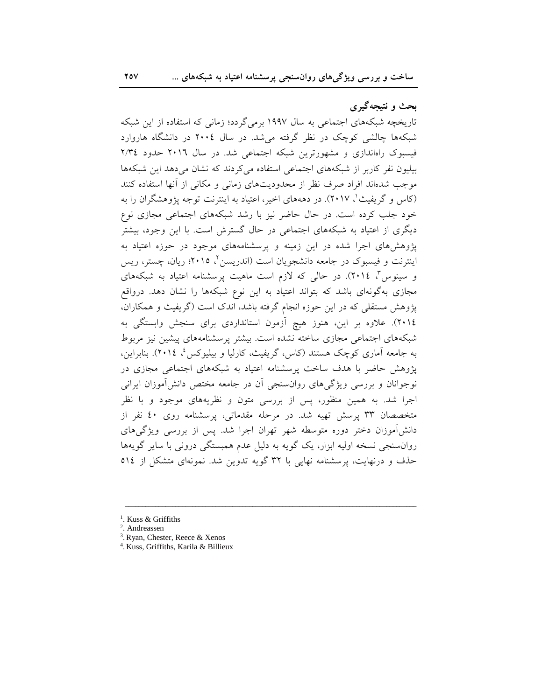بحث و نتیجهگیری

تاریخچه شبکههای اجتماعی به سال ۱۹۹۷ برمی گردد؛ زمانی که استفاده از این شبکه شبکهها چالشی کوچک در نظر گرفته می شد. در سال ۲۰۰٤ در دانشگاه هاروارد فیسبوک راهاندازی و مشهورترین شبکه اجتماعی شد. در سال ۲۰۱٦ حدود ۲/۳٤ بیلیون نفر کاربر از شبکههای اجتماعی استفاده میکردند که نشان میدهد این شبکهها موجب شدهاند افراد صرف نظر از محدودیتهای زمانی و مکانی از أنها استفاده کنند (کاس و گریفیث'، ۲۰۱۷). در دهههای اخیر، اعتیاد به اینترنت توجه پژوهشگران را به خود جلب کرده است. در حال حاضر نیز با رشد شبکههای اجتماعی مجازی نوع دیگری از اعتیاد به شبکههای اجتماعی در حال گسترش است. با این وجود، بیشتر پژوهشهای اجرا شده در این زمینه و پرسشنامههای موجود در حوزه اعتیاد به اینترنت و فیسبوک در جامعه دانشجویان است (اندریسن<sup>۲</sup>، ۲۰۱۵؛ ریان، چستر، ریس و سینوس"، ۲۰۱٤). در حالی که لازم است ماهیت پرسشنامه اعتیاد به شبکههای مجازی بهگونهای باشد که بتواند اعتیاد به این نوع شبکهها را نشان دهد. درواقع پژوهش مستقلی که در این حوزه انجام گرفته باشد، اندک است (گریفیث و همکاران، ٢٠١٤). علاوه بر اين، هنوز هيچ آزمون استانداردي براي سنجش وابستگي به شبکههای اجتماع<sub>ی</sub> مجازی ساخته نشده است. بیشتر پرسشنامههای پیشین نیز مربوط به جامعه آماری کوچک هستند (کاس، گریفیث، کارلیا و بیلیوکس، ۲۰۱٤). بنابراین، یژوهش حاضر با هدف ساخت پرسشنامه اعتیاد به شبکههای اجتماعی مجازی در نوجوانان و بررسی ویژگی های روانسنجی اَن در جامعه مختص دانش آموزان ایرانی اجرا شد. به همین منظور، پس از بررسی متون و نظریههای موجود و با نظر متخصصان ۳۳ پرسش تهیه شد. در مرحله مقدماتی، پرسشنامه روی ٤٠ نفر از دانش آموزان دختر دوره متوسطه شهر تهران اجرا شد. پس از بررسی ویژگی های روانسنجی نسخه اولیه ابزار، یک گویه به دلیل عدم همبستگی درونی با سایر گویهها حذف و درنهایت، پرسشنامه نهایی با ۳۲ گویه تدوین شد. نمونهای متشکل از ٥١٤

 $\overline{\phantom{a}$ 

- 3 .Ryan, Chester, Reece & Xenos
- 4 . Kuss, Griffiths, Karila & Billieux

<sup>1</sup> . Kuss & Griffiths

<sup>2</sup> . Andreassen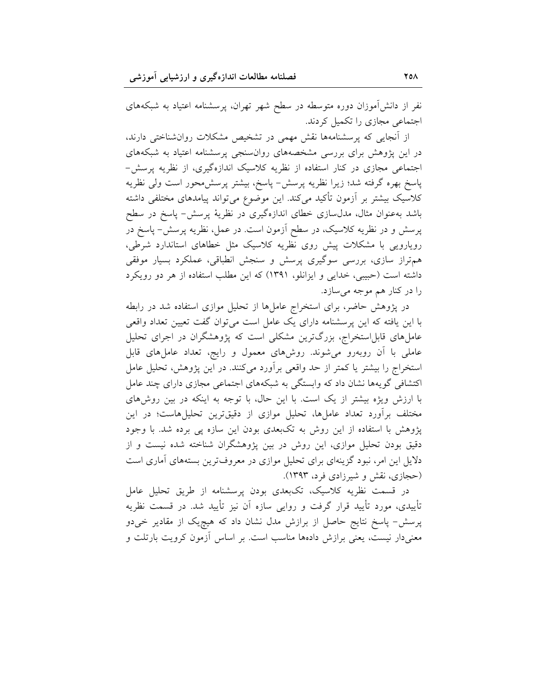نفر از دانش آموزان دوره متوسطه در سطح شهر تهران، پرسشنامه اعتیاد به شبکههای اجتماعی مجازی را تکمیل کردند.

از آنجایی که پرسشنامهها نقش مهمی در تشخیص مشکلات روانشناختی دارند، در این پژوهش برای بررسی مشخصههای روانسنجی پرسشنامه اعتیاد به شبکههای اجتماعی مجازی در کنار استفاده از نظریه کلاسیک اندازهگیری، از نظریه پرسش-پاسخ بهره گرفته شد؛ زیرا نظریه پرسش- پاسخ، بیشتر پرسش،حور است ولی نظریه کلاسیک بیشتر بر آزمون تأکید میکند. این موضوع میتواند پیامدهای مختلفی داشته باشد بهعنوان مثال، مدلسازی خطای اندازهگیری در نظریهٔ پرسش- پاسخ در سطح پرسش و در نظریه کلاسیک، در سطح آزمون است. در عمل، نظریه پرسش- پاسخ در رویارویی با مشکلات پیش روی نظریه کلاسیک مثل خطاهای استاندارد شرطی، هم تراز سازی، بررسی سوگیری پرسش و سنجش انطباقی، عملکرد بسیار موفقی داشته است (حبیبی، خدایی و ایزانلو، ۱۳۹۱) که این مطلب استفاده از هر دو رویکرد را در کنار هم موجه میسازد.

در پژوهش حاضر، برای استخراج عاملها از تحلیل موازی استفاده شد در رابطه با این یافته که این پرسشنامه دارای یک عامل است می توان گفت تعیین تعداد واقعی عاملهای قابل|ستخراج، بزرگترین مشکلی است که پژوهشگران در اجرای تحلیل عاملی با آن روبهرو میشوند. روشهای معمول و رایج، تعداد عاملهای قابل استخراج را بیشتر یا کمتر از حد واقعی برآورد میکنند. در این پژوهش، تحلیل عامل اکتشافی گویهها نشان داد که وابستگی به شبکههای اجتماعی مجازی دارای چند عامل با ارزش ویژه بیشتر از یک است. با این حال، با توجه به اینکه در بین روشهای مختلف برآورد تعداد عاملها، تحلیل موازی از دقیقترین تحلیلهاست؛ در این پژوهش با استفاده از این روش به تکبعدی بودن این سازه پی برده شد. با وجود دقیق بودن تحلیل موازی، این روش در بین پژوهشگران شناخته شده نیست و از دلایل این امر، نبود گزینهای برای تحلیل موازی در معروفترین بستههای آماری است (حجازی، نقش و شیرزادی فرد، ۱۳۹۳).

در قسمت نظریه کلاسیک، تکبعدی بودن پرسشنامه از طریق تحلیل عامل تأییدی، مورد تأیید قرار گرفت و روایی سازه آن نیز تأیید شد. در قسمت نظریه پرسش- پاسخ نتایج حاصل از برازش مدل نشان داد که هیچیک از مقادیر خیدو معنیدار نیست، یعنی برازش دادهها مناسب است. بر اساس آزمون کرویت بارتلت و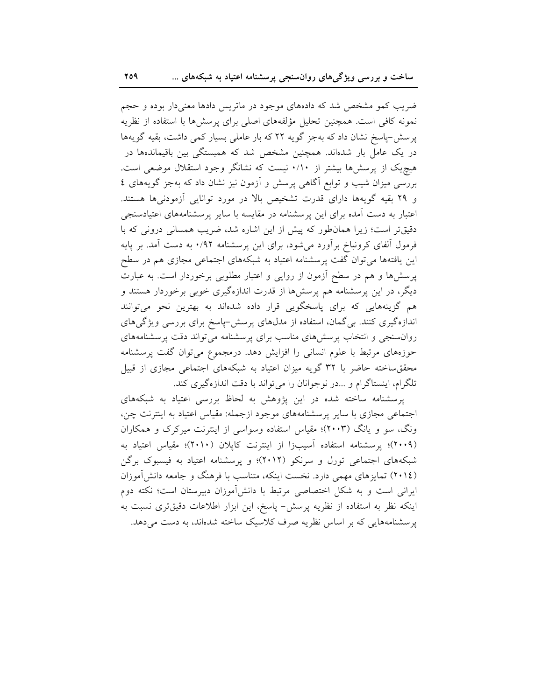ضریب کمو مشخص شد که دادههای موجود در ماتریس دادها معنیدار بوده و حجم نمونه كافي است. همچنين تحليل مؤلفههاى اصلى براى پرسشها با استفاده از نظريه پرسش-پاسخ نشان داد که بهجز گویه ۲۲ که بار عاملی بسیار کمی داشت، بقیه گویهها در یک عامل بار شدهاند. همچنین مشخص شد که همبستگی بین باقیماندهها در هیچ یک از پرسشها بیشتر از ۰/۱۰ نیست که نشانگر وجود استقلال موضعی است. بررسی میزان شیب و توابع آگاهی پرسش و آزمون نیز نشان داد که بهجز گویههای ٤ و ۲۹ بقیه گویهها دارای قدرت تشخیص بالا در مورد توانایی آزمودنیها هستند. اعتبار به دست آمده برای این پرسشنامه در مقایسه با سایر پرسشنامههای اعتیادسنجی دقیقتر است؛ زیرا همان طور که پیش از این اشاره شد، ضریب همسانی درونی که با فرمول آلفای کرونباخ برآورد میشود، برای این پرسشنامه ۰/۹۲ به دست آمد. بر پایه این یافتهها میتوان گفت پرسشنامه اعتیاد به شبکههای اجتماعی مجازی هم در سطح پرسشها و هم در سطح آزمون از روایی و اعتبار مطلوبی برخوردار است. به عبارت دیگر، در این پرسشنامه هم پرسشها از قدرت اندازهگیری خوبی برخوردار هستند و هم گزینههایی که برای پاسخگویی قرار داده شدهاند به بهترین نحو میتوانند اندازهگیری کنند. بی گمان، استفاده از مدل۵عای پرسش-پاسخ برای بررسی ویژگیهای روان سنجی و انتخاب پر سش های مناسب برای پر سشنامه می تواند دقت پر سشنامههای حوزههای مرتبط با علوم انسانی را افزایش دهد. درمجموع میتوان گفت پرسشنامه محققساخته حاضر با ٣٢ گويه ميزان اعتياد به شبكههاى اجتماعى مجازى از قبيل تلگرام، اینستاگرام و …در نوجوانان را می تواند با دقت اندازهگیری کند.

پرسشنامه ساخته شده در این پژوهش به لحاظ بررسی اعتیاد به شبکههای اجتماعی مجازی با سایر پرسشنامههای موجود ازجمله: مقیاس اعتیاد به اینترنت چن، ونگ، سو و یانگ (۲۰۰۳)؛ مقیاس استفاده وسواسی از اینترنت میرکرک و همکاران (۲۰۰۹)؛ یرسشنامه استفاده آسیبزا از اینترنت کایلان (۲۰۱۰)؛ مقیاس اعتیاد به شبکههای اجتماعی تورل و سرنکو (۲۰۱۲)؛ و پرسشنامه اعتیاد به فیسبوک برگن (۲۰۱٤) تمایزهای مهمی دارد. نخست اینکه، متناسب با فرهنگ و جامعه دانش آموزان ایرانی است و به شکل اختصاصی مرتبط با دانش آموزان دبیرستان است؛ نکته دوم اینکه نظر به استفاده از نظریه پرسش- پاسخ، این ابزار اطلاعات دقیقتری نسبت به پرسشنامههایی که بر اساس نظریه صرف کلاسیک ساخته شدهاند، به دست می دهد.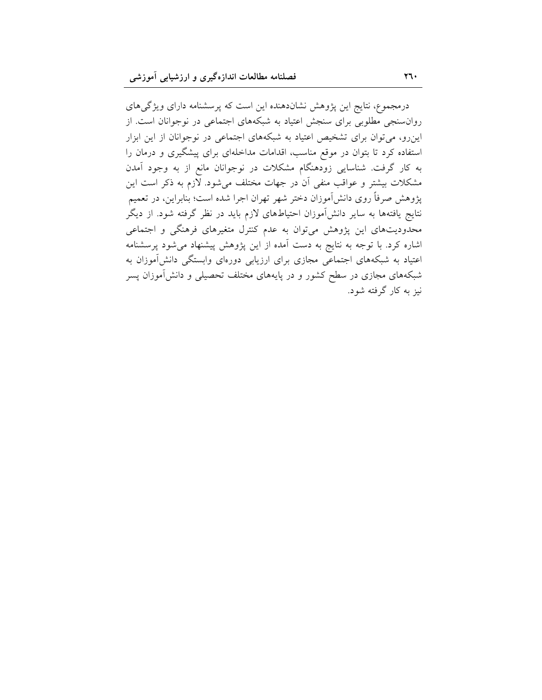درمجموع، نتایج این پژوهش نشاندهنده این است که پرسشنامه دارای ویژگیهای روان سنجی مطلوبی برای سنجش اعتیاد به شبکههای اجتماعی در نوجوانان است. از این رو، می توان برای تشخیص اعتیاد به شبکههای اجتماعی در نوجوانان از این ابزار استفاده کرد تا بتوان در موقع مناسب، اقدامات مداخلهای برای پیشگیری و درمان را به کار گرفت. شناسایی زودهنگام مشکلات در نوجوانان مانع از به وجود آمدن مشکلات بیشتر و عواقب منفی آن در جهات مختلف میشود. لازم به ذکر است این پژوهش صرفاً روی دانشآموزان دختر شهر تهران اجرا شده است؛ بنابراین، در تعمیم نتایج یافتهها به سایر دانشآموزان احتیاطهای لازم باید در نظر گرفته شود. از دیگر محدودیتهای این پژوهش میتوان به عدم کنترل متغیرهای فرهنگی و اجتماعی اشاره کرد. با توجه به نتایج به دست آمده از این پژوهش پیشنهاد میشود پرسشنامه اعتیاد به شبکههای اجتماعی مجازی برای ارزیابی دورهای وابستگی دانشآموزان به شبکههای مجازی در سطح کشور و در پایههای مختلف تحصیلی و دانشآموزان پسر نیز به کار گرفته شود.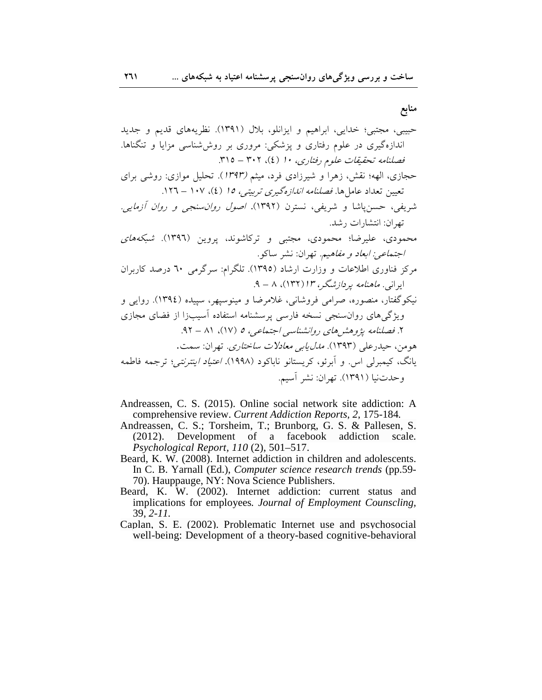منابع

- Andreassen, C. S. (2015). Online social network site addiction: A comprehensive review. Current Addiction Reports, 2, 175-184.
- Andreassen, C. S.; Torsheim, T.; Brunborg, G. S. & Pallesen, S. (2012). Development of a facebook addiction scale. Psychological Report, 110 (2), 501-517.
- Beard, K. W. (2008). Internet addiction in children and adolescents. In C. B. Yarnall (Ed.), *Computer science research trends* (pp.59-70). Hauppauge, NY: Nova Science Publishers.
- Beard, K. W. (2002). Internet addiction: current status and implications for employees. Journal of Employment Counscling,  $39, 2 - 11.$
- Caplan, S. E. (2002). Problematic Internet use and psychosocial well-being: Development of a theory-based cognitive-behavioral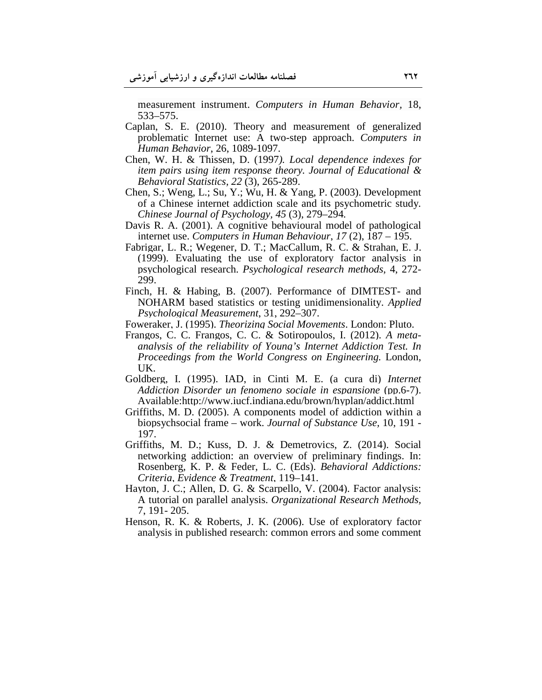measurement instrument. *Computers in Human Behavior,* 18, 533–575.

- Caplan, S. E. (2010). Theory and measurement of generalized problematic Internet use: A two-step approach. *Computers in Human Behavior*, 26, 1089-1097.
- Chen, W. H. & Thissen, D. (1997*). Local dependence indexes for item pairs using item response theory. Journal of Educational & Behavioral Statistics, 22* (3), 265-289.
- Chen, S.; Weng, L.; Su, Y.; Wu, H. & Yang, P. (2003). Development of a Chinese internet addiction scale and its psychometric study*. Chinese Journal of Psychology, 45* (3), 279–294*.*
- Davis R. A. (2001). A cognitive behavioural model of pathological internet use. *Computers in Human Behaviour*, *17* (2), 187 – 195.
- Fabrigar, L. R.; Wegener, D. T.; MacCallum, R. C. & Strahan, E. J. (1999). Evaluating the use of exploratory factor analysis in psychological research. *Psychological research methods*, 4, 272- 299.
- Finch, H. & Habing, B. (2007). Performance of DIMTEST- and NOHARM based statistics or testing unidimensionality. *Applied Psychological Measurement*, 31, 292–307.
- Foweraker, J. (1995). *Theorizing Social Movements*. London: Pluto.
- Frangos, C. C. Frangos, C. C. & Sotiropoulos, I. (2012). *A metaanalysis of the reliability of Young's Internet Addiction Test. In Proceedings from the World Congress on Engineering.* London, UK.
- Goldberg, I. (1995). IAD, in Cinti M. E. (a cura di) *Internet Addiction Disorder un fenomeno sociale in espansione* (pp.6-7). Available:http://www.iucf.indiana.edu/brown/hyplan/addict.html
- Griffiths, M. D. (2005). A components model of addiction within a biopsychsocial frame – work. *Journal of Substance Use,* 10, 191 - 197.
- Griffiths, M. D.; Kuss, D. J. & Demetrovics, Z. (2014). Social networking addiction: an overview of preliminary findings. In: Rosenberg, K. P. & Feder, L. C. (Eds). *Behavioral Addictions: Criteria, Evidence & Treatment,* 119–141.
- Hayton, J. C.; Allen, D. G. & Scarpello, V. (2004). Factor analysis: A tutorial on parallel analysis. *Organizational Research Methods,* 7, 191- 205.
- Henson, R. K. & Roberts, J. K. (2006). Use of exploratory factor analysis in published research: common errors and some comment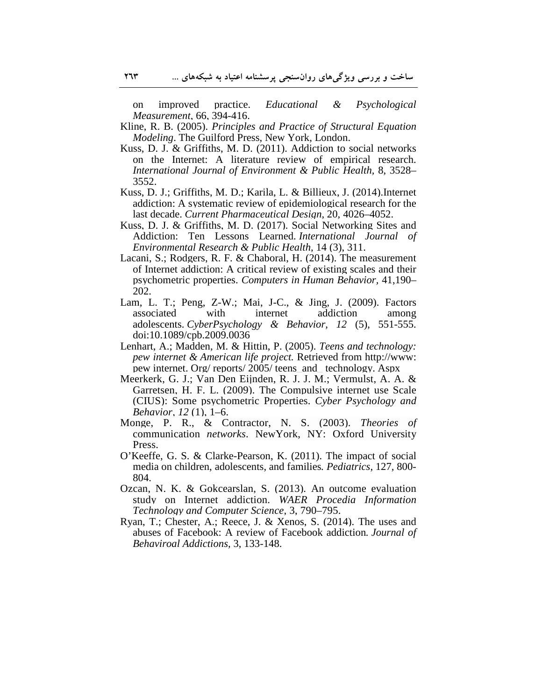on improved practice. *Educational & Psychological Measurement*, 66, 394-416.

Kline, R. B. (2005). *Principles and Practice of Structural Equation Modeling*. The Guilford Press, New York, London.

- Kuss, D. J. & Griffiths, M. D. (2011). Addiction to social networks on the Internet: A literature review of empirical research. *International Journal of Environment & Public Health,* 8, 3528– 3552.
- Kuss, D. J.; Griffiths, M. D.; Karila, L. & Billieux, J. (2014).Internet addiction: A systematic review of epidemiological research for the last decade. *Current Pharmaceutical Design,* 20*,* 4026–4052.
- Kuss, D. J. & Griffiths, M. D. (2017). Social Networking Sites and Addiction: Ten Lessons Learned. *International Journal of Environmental Research & Public Health,* 14 (3), 311.
- Lacani, S.; Rodgers, R. F. & Chaboral, H. (2014). The measurement of Internet addiction: A critical review of existing scales and their psychometric properties. *Computers in Human Behavior,* 41,190– 202.
- Lam, L. T.; Peng, Z-W.; Mai, J-C., & Jing, J. (2009). Factors associated with internet addiction among adolescents. *CyberPsychology & Behavior, 12* (5), 551-555. doi:10.1089/cpb.2009.0036
- Lenhart, A.; Madden, M. & Hittin, P. (2005). *Teens and technology: pew internet & American life project.* Retrieved from http://www: pew internet. Org/ reports/ 2005/ teens\_and\_ technology. Aspx
- Meerkerk, G. J.; Van Den Eijnden, R. J. J. M.; Vermulst, A. A. & Garretsen, H. F. L. (2009). The Compulsive internet use Scale (CIUS): Some psychometric Properties. *Cyber Psychology and Behavior, 12* (1), 1–6.
- Monge, P. R., & Contractor, N. S. (2003). *Theories of*  communication *networks*. NewYork, NY: Oxford University Press.
- O'Keeffe, G. S. & Clarke-Pearson, K. (2011). The impact of social media on children, adolescents, and families*. Pediatrics,* 127*,* 800- 804.
- Ozcan, N. K. & Gokcearslan, S. (2013)*.* An outcome evaluation study on Internet addiction. *WAER Procedia Information Technology and Computer Science,* 3, 790–795.
- Ryan, T.; Chester, A.; Reece, J. & Xenos, S. (2014). The uses and abuses of Facebook: A review of Facebook addiction*. Journal of Behaviroal Addictions,* 3, 133-148.